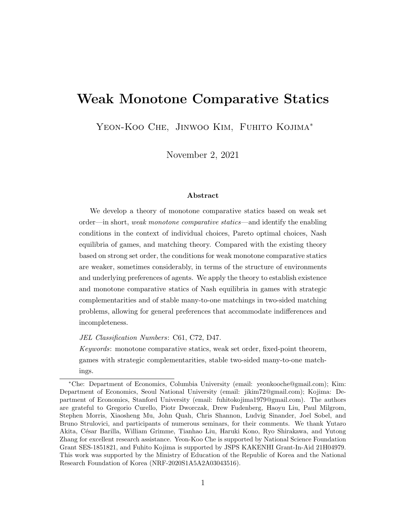# Weak Monotone Comparative Statics

Yeon-Koo Che, Jinwoo Kim, Fuhito Kojima<sup>∗</sup>

November 2, 2021

#### Abstract

We develop a theory of monotone comparative statics based on weak set order—in short, weak monotone comparative statics—and identify the enabling conditions in the context of individual choices, Pareto optimal choices, Nash equilibria of games, and matching theory. Compared with the existing theory based on strong set order, the conditions for weak monotone comparative statics are weaker, sometimes considerably, in terms of the structure of environments and underlying preferences of agents. We apply the theory to establish existence and monotone comparative statics of Nash equilibria in games with strategic complementarities and of stable many-to-one matchings in two-sided matching problems, allowing for general preferences that accommodate indifferences and incompleteness.

JEL Classification Numbers: C61, C72, D47.

Keywords: monotone comparative statics, weak set order, fixed-point theorem, games with strategic complementarities, stable two-sided many-to-one matchings.

<sup>∗</sup>Che: Department of Economics, Columbia University (email: yeonkooche@gmail.com); Kim: Department of Economics, Seoul National University (email: jikim72@gmail.com); Kojima: Department of Economics, Stanford University (email: fuhitokojima1979@gmail.com). The authors are grateful to Gregorio Curello, Piotr Dworczak, Drew Fudenberg, Haoyu Liu, Paul Milgrom, Stephen Morris, Xiaosheng Mu, John Quah, Chris Shannon, Ludvig Sinander, Joel Sobel, and Bruno Strulovici, and participants of numerous seminars, for their comments. We thank Yutaro Akita, C´esar Barilla, William Grimme, Tianhao Liu, Haruki Kono, Ryo Shirakawa, and Yutong Zhang for excellent research assistance. Yeon-Koo Che is supported by National Science Foundation Grant SES-1851821, and Fuhito Kojima is supported by JSPS KAKENHI Grant-In-Aid 21H04979. This work was supported by the Ministry of Education of the Republic of Korea and the National Research Foundation of Korea (NRF-2020S1A5A2A03043516).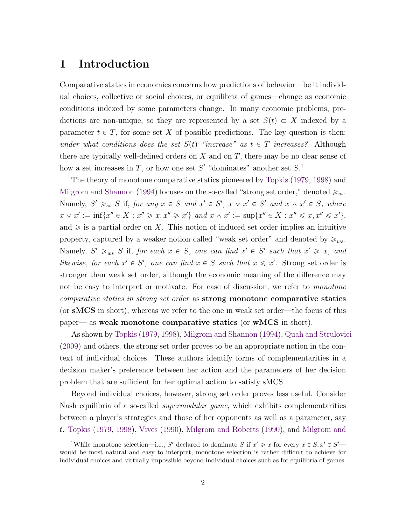## <span id="page-1-1"></span>1 Introduction

Comparative statics in economics concerns how predictions of behavior—be it individual choices, collective or social choices, or equilibria of games—change as economic conditions indexed by some parameters change. In many economic problems, predictions are non-unique, so they are represented by a set  $S(t) \subset X$  indexed by a parameter  $t \in T$ , for some set X of possible predictions. The key question is then: under what conditions does the set  $S(t)$  "increase" as  $t \in T$  increases? Although there are typically well-defined orders on  $X$  and on  $T$ , there may be no clear sense of how a set increases in T, or how one set S' "dominates" another set  $S<sup>1</sup>$  $S<sup>1</sup>$  $S<sup>1</sup>$ 

The theory of monotone comparative statics pioneered by [Topkis](#page-47-0) [\(1979,](#page-47-0) [1998\)](#page-47-1) and [Milgrom and Shannon](#page-46-0) [\(1994\)](#page-46-0) focuses on the so-called "strong set order," denoted  $\geqslant_{ss}$ . Namely,  $S' \geq_{ss} S$  if, for any  $x \in S$  and  $x' \in S'$ ,  $x \vee x' \in S'$  and  $x \wedge x' \in S$ , where  $x \lor x' := \inf\{x'' \in X : x'' \geq x, x'' \geq x'\}$  and  $x \land x' := \sup\{x'' \in X : x'' \leq x, x'' \leq x'\},\$ and  $\geq$  is a partial order on X. This notion of induced set order implies an intuitive property, captured by a weaker notion called "weak set order" and denoted by  $\geq_{ws}$ . Namely,  $S' \geq_{ws} S$  if, for each  $x \in S$ , one can find  $x' \in S'$  such that  $x' \geq x$ , and likewise, for each  $x' \in S'$ , one can find  $x \in S$  such that  $x \leq x'$ . Strong set order is stronger than weak set order, although the economic meaning of the difference may not be easy to interpret or motivate. For ease of discussion, we refer to *monotone* comparative statics in strong set order as strong monotone comparative statics (or sMCS in short), whereas we refer to the one in weak set order—the focus of this paper— as weak monotone comparative statics (or wMCS in short).

As shown by [Topkis](#page-47-0) [\(1979,](#page-47-0) [1998\)](#page-47-1), [Milgrom and Shannon](#page-46-0) [\(1994\)](#page-46-0), [Quah and Strulovici](#page-47-2) [\(2009\)](#page-47-2) and others, the strong set order proves to be an appropriate notion in the context of individual choices. These authors identify forms of complementarities in a decision maker's preference between her action and the parameters of her decision problem that are sufficient for her optimal action to satisfy sMCS.

Beyond individual choices, however, strong set order proves less useful. Consider Nash equilibria of a so-called *supermodular game*, which exhibits complementarities between a player's strategies and those of her opponents as well as a parameter, say t. [Topkis](#page-47-0) [\(1979,](#page-47-0) [1998\)](#page-47-1), [Vives](#page-47-3) [\(1990\)](#page-47-3), [Milgrom and Roberts](#page-46-1) [\(1990\)](#page-46-1), and [Milgrom and](#page-46-0)

<span id="page-1-0"></span><sup>&</sup>lt;sup>1</sup>[While monotone selection—i.e.,](#page-46-0) S' declared to dominate S if  $x' \geq x$  for every  $x \in S, x' \in S'$  [would be most natural and easy to interpret, monotone selection is rather difficult to achieve for](#page-46-0) [individual choices and virtually impossible beyond individual choices such as for equilibria of games.](#page-46-0)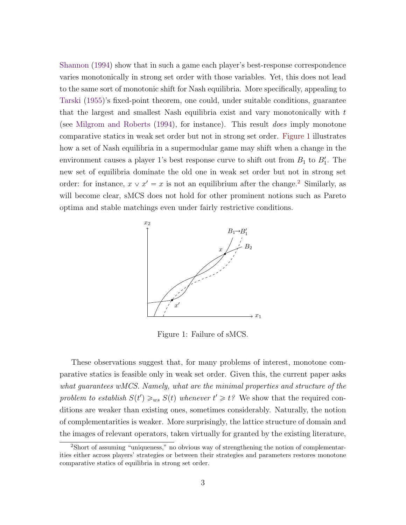<span id="page-2-2"></span>[Shannon](#page-46-0) [\(1994\)](#page-46-0) show that in such a game each player's best-response correspondence varies monotonically in strong set order with those variables. Yet, this does not lead to the same sort of monotonic shift for Nash equilibria. More specifically, appealing to [Tarski](#page-47-4) [\(1955\)](#page-47-4)'s fixed-point theorem, one could, under suitable conditions, guarantee that the largest and smallest Nash equilibria exist and vary monotonically with  $t$ (see [Milgrom and Roberts](#page-46-2) [\(1994\)](#page-46-2), for instance). This result does imply monotone comparative statics in weak set order but not in strong set order. [Figure 1](#page-2-0) illustrates how a set of Nash equilibria in a supermodular game may shift when a change in the environment causes a player 1's best response curve to shift out from  $B_1$  to  $B'_1$ . The new set of equilibria dominate the old one in weak set order but not in strong set order: for instance,  $x \vee x' = x$  is not an equilibrium after the change.<sup>[2](#page-2-1)</sup> Similarly, as will become clear, sMCS does not hold for other prominent notions such as Pareto optima and stable matchings even under fairly restrictive conditions.



<span id="page-2-0"></span>Figure 1: Failure of sMCS.

These observations suggest that, for many problems of interest, monotone comparative statics is feasible only in weak set order. Given this, the current paper asks what guarantees wMCS. Namely, what are the minimal properties and structure of the problem to establish  $S(t') \geq_{ws} S(t)$  whenever  $t' \geq t$ ? We show that the required conditions are weaker than existing ones, sometimes considerably. Naturally, the notion of complementarities is weaker. More surprisingly, the lattice structure of domain and the images of relevant operators, taken virtually for granted by the existing literature,

<span id="page-2-1"></span><sup>2</sup>Short of assuming "uniqueness," no obvious way of strengthening the notion of complementarities either across players' strategies or between their strategies and parameters restores monotone comparative statics of equilibria in strong set order.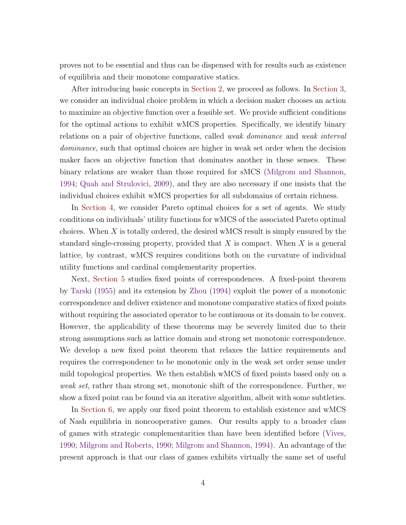<span id="page-3-0"></span>proves not to be essential and thus can be dispensed with for results such as existence of equilibria and their monotone comparative statics.

After introducing basic concepts in [Section 2,](#page-5-0) we proceed as follows. In [Section 3,](#page-8-0) we consider an individual choice problem in which a decision maker chooses an action to maximize an objective function over a feasible set. We provide sufficient conditions for the optimal actions to exhibit wMCS properties. Specifically, we identify binary relations on a pair of objective functions, called weak dominance and weak interval dominance, such that optimal choices are higher in weak set order when the decision maker faces an objective function that dominates another in these senses. These binary relations are weaker than those required for sMCS [\(Milgrom and Shannon,](#page-46-0) [1994;](#page-46-0) [Quah and Strulovici,](#page-47-2) [2009\)](#page-47-2), and they are also necessary if one insists that the individual choices exhibit wMCS properties for all subdomains of certain richness.

In [Section 4,](#page-13-0) we consider Pareto optimal choices for a set of agents. We study conditions on individuals' utility functions for wMCS of the associated Pareto optimal choices. When X is totally ordered, the desired wMCS result is simply ensured by the standard single-crossing property, provided that  $X$  is compact. When  $X$  is a general lattice, by contrast, wMCS requires conditions both on the curvature of individual utility functions and cardinal complementarity properties.

Next, [Section 5](#page-18-0) studies fixed points of correspondences. A fixed-point theorem by [Tarski](#page-47-4) [\(1955\)](#page-47-4) and its extension by [Zhou](#page-47-5) [\(1994\)](#page-47-5) exploit the power of a monotonic correspondence and deliver existence and monotone comparative statics of fixed points without requiring the associated operator to be continuous or its domain to be convex. However, the applicability of these theorems may be severely limited due to their strong assumptions such as lattice domain and strong set monotonic correspondence. We develop a new fixed point theorem that relaxes the lattice requirements and requires the correspondence to be monotonic only in the weak set order sense under mild topological properties. We then establish wMCS of fixed points based only on a weak set, rather than strong set, monotonic shift of the correspondence. Further, we show a fixed point can be found via an iterative algorithm, albeit with some subtleties.

In [Section 6,](#page-23-0) we apply our fixed point theorem to establish existence and wMCS of Nash equilibria in noncooperative games. Our results apply to a broader class of games with strategic complementarities than have been identified before [\(Vives,](#page-47-3) [1990;](#page-47-3) [Milgrom and Roberts,](#page-46-1) [1990;](#page-46-1) [Milgrom and Shannon,](#page-46-0) [1994\)](#page-46-0). An advantage of the present approach is that our class of games exhibits virtually the same set of useful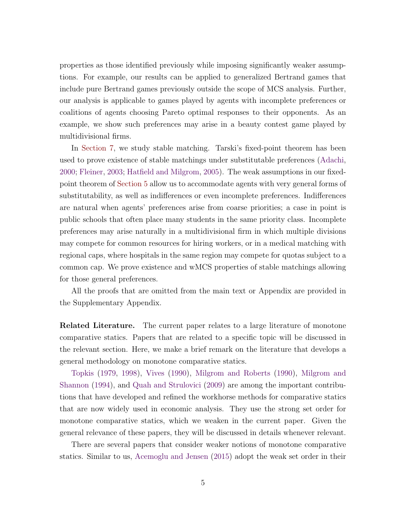<span id="page-4-0"></span>properties as those identified previously while imposing significantly weaker assumptions. For example, our results can be applied to generalized Bertrand games that include pure Bertrand games previously outside the scope of MCS analysis. Further, our analysis is applicable to games played by agents with incomplete preferences or coalitions of agents choosing Pareto optimal responses to their opponents. As an example, we show such preferences may arise in a beauty contest game played by multidivisional firms.

In [Section 7,](#page-30-0) we study stable matching. Tarski's fixed-point theorem has been used to prove existence of stable matchings under substitutable preferences [\(Adachi,](#page-43-0) [2000;](#page-43-0) [Fleiner,](#page-44-0) [2003;](#page-44-0) [Hatfield and Milgrom,](#page-45-0) [2005\)](#page-45-0). The weak assumptions in our fixedpoint theorem of [Section 5](#page-18-0) allow us to accommodate agents with very general forms of substitutability, as well as indifferences or even incomplete preferences. Indifferences are natural when agents' preferences arise from coarse priorities; a case in point is public schools that often place many students in the same priority class. Incomplete preferences may arise naturally in a multidivisional firm in which multiple divisions may compete for common resources for hiring workers, or in a medical matching with regional caps, where hospitals in the same region may compete for quotas subject to a common cap. We prove existence and wMCS properties of stable matchings allowing for those general preferences.

All the proofs that are omitted from the main text or Appendix are provided in the Supplementary Appendix.

**Related Literature.** The current paper relates to a large literature of monotone comparative statics. Papers that are related to a specific topic will be discussed in the relevant section. Here, we make a brief remark on the literature that develops a general methodology on monotone comparative statics.

[Topkis](#page-47-0) [\(1979,](#page-47-0) [1998\)](#page-47-1), [Vives](#page-47-3) [\(1990\)](#page-47-3), [Milgrom and Roberts](#page-46-1) [\(1990\)](#page-46-1), [Milgrom and](#page-46-0) [Shannon](#page-46-0) [\(1994\)](#page-46-0), and [Quah and Strulovici](#page-47-2) [\(2009\)](#page-47-2) are among the important contributions that have developed and refined the workhorse methods for comparative statics that are now widely used in economic analysis. They use the strong set order for monotone comparative statics, which we weaken in the current paper. Given the general relevance of these papers, they will be discussed in details whenever relevant.

There are several papers that consider weaker notions of monotone comparative statics. Similar to us, [Acemoglu and Jensen](#page-43-1) [\(2015\)](#page-43-1) adopt the weak set order in their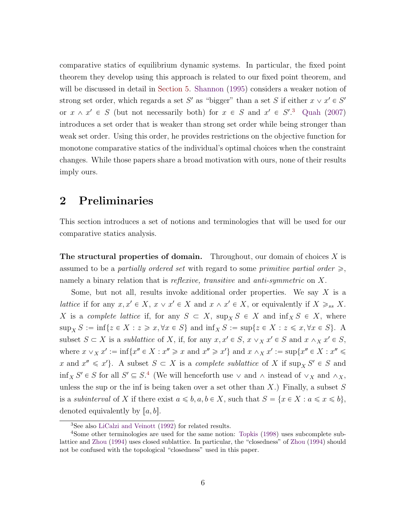<span id="page-5-3"></span>comparative statics of equilibrium dynamic systems. In particular, the fixed point theorem they develop using this approach is related to our fixed point theorem, and will be discussed in detail in [Section 5.](#page-18-0) [Shannon](#page-47-6) [\(1995\)](#page-47-6) considers a weaker notion of strong set order, which regards a set S' as "bigger" than a set S if either  $x \vee x' \in S'$ or  $x \wedge x' \in S$  (but not necessarily both) for  $x \in S$  and  $x' \in S'.^3$  $x' \in S'.^3$  [Quah](#page-46-3) [\(2007\)](#page-46-3) introduces a set order that is weaker than strong set order while being stronger than weak set order. Using this order, he provides restrictions on the objective function for monotone comparative statics of the individual's optimal choices when the constraint changes. While those papers share a broad motivation with ours, none of their results imply ours.

## <span id="page-5-0"></span>2 Preliminaries

This section introduces a set of notions and terminologies that will be used for our comparative statics analysis.

**The structural properties of domain.** Throughout, our domain of choices  $X$  is assumed to be a partially ordered set with regard to some primitive partial order  $\geq$ , namely a binary relation that is *reflexive*, *transitive* and *anti-symmetric* on X.

Some, but not all, results invoke additional order properties. We say  $X$  is a lattice if for any  $x, x' \in X$ ,  $x \vee x' \in X$  and  $x \wedge x' \in X$ , or equivalently if  $X \geq_{ss} X$ . X is a complete lattice if, for any  $S \subset X$ ,  $\sup_X S \in X$  and  $\inf_X S \in X$ , where  $\sup_X S := \inf \{ z \in X : z \geq x, \forall x \in S \}$  and  $\inf_X S := \sup \{ z \in X : z \leq x, \forall x \in S \}$ . A subset  $S \subset X$  is a sublattice of X, if, for any  $x, x' \in S$ ,  $x \vee_X x' \in S$  and  $x \wedge_X x' \in S$ , where  $x \vee_X x' := \inf\{x'' \in X : x'' \geq x \text{ and } x'' \geq x'\}$  and  $x \wedge_X x' := \sup\{x'' \in X : x'' \leq x''\}$ x and  $x'' \leq x'$ . A subset  $S \subset X$  is a complete sublattice of X if  $\sup_X S' \in S$  and  $\inf_X S' \in S$  for all  $S' \subseteq S$ .<sup>[4](#page-5-2)</sup> (We will henceforth use  $\vee$  and  $\wedge$  instead of  $\vee_X$  and  $\wedge_X$ , unless the sup or the inf is being taken over a set other than  $X$ .) Finally, a subset  $S$ is a *subinterval* of X if there exist  $a \leq b, a, b \in X$ , such that  $S = \{x \in X : a \leq x \leq b\}$ , denoted equivalently by  $[a, b]$ .

<span id="page-5-2"></span><span id="page-5-1"></span><sup>3</sup>See also [LiCalzi and Veinott](#page-46-4) [\(1992\)](#page-46-4) for related results.

<sup>4</sup>Some other terminologies are used for the same notion: [Topkis](#page-47-1) [\(1998\)](#page-47-1) uses subcomplete sublattice and [Zhou](#page-47-5) [\(1994\)](#page-47-5) uses closed sublattice. In particular, the "closedness" of [Zhou](#page-47-5) [\(1994\)](#page-47-5) should not be confused with the topological "closedness" used in this paper.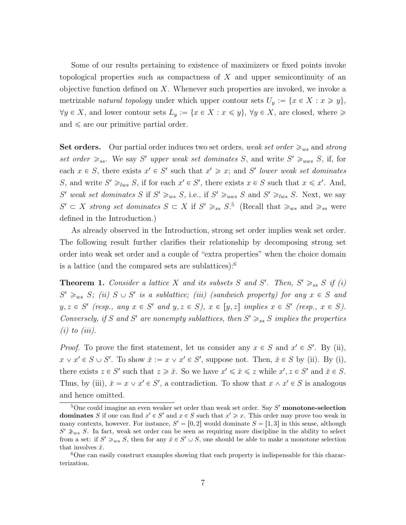Some of our results pertaining to existence of maximizers or fixed points invoke topological properties such as compactness of  $X$  and upper semicontinuity of an objective function defined on X. Whenever such properties are invoked, we invoke a metrizable natural topology under which upper contour sets  $U_y := \{x \in X : x \geq y\},\$  $\forall y \in X$ , and lower contour sets  $L_y := \{x \in X : x \leq y\}$ ,  $\forall y \in X$ , are closed, where  $\geq$ and  $\le$  are our primitive partial order.

Set orders. Our partial order induces two set orders, weak set order  $\geq_{ws}$  and strong set order  $\geq_{ss}$ . We say S' upper weak set dominates S, and write S'  $\geq_{uws}$  S, if, for each  $x \in S$ , there exists  $x' \in S'$  such that  $x' \geq x$ ; and S' lower weak set dominates S, and write  $S' \geq_{lws} S$ , if for each  $x' \in S'$ , there exists  $x \in S$  such that  $x \leq x'$ . And, S' weak set dominates S if  $S' \ge_{ws} S$ , i.e., if  $S' \ge_{uws} S$  and  $S' \ge_{lws} S$ . Next, we say  $S' \subset X$  strong set dominates  $S \subset X$  if  $S' \geq_{ss} S^5$  $S' \geq_{ss} S^5$  (Recall that  $\geq_{ws}$  and  $\geq_{ss}$  were defined in the Introduction.)

As already observed in the Introduction, strong set order implies weak set order. The following result further clarifies their relationship by decomposing strong set order into weak set order and a couple of "extra properties" when the choice domain is a lattice (and the compared sets are sublattices): $6$ 

<span id="page-6-2"></span>**Theorem 1.** Consider a lattice X and its subsets S and S'. Then,  $S' \geq_{ss} S$  if (i)  $S' \ge_{ws} S;$  (ii)  $S \cup S'$  is a sublattice; (iii) (sandwich property) for any  $x \in S$  and  $y, z \in S'$  (resp., any  $x \in S'$  and  $y, z \in S$ ),  $x \in [y, z]$  implies  $x \in S'$  (resp.,  $x \in S$ ). Conversely, if S and S' are nonempty sublattices, then  $S' \geq_{ss} S$  implies the properties  $(i)$  to  $(iii)$ .

*Proof.* To prove the first statement, let us consider any  $x \in S$  and  $x' \in S'$ . By (ii),  $x \lor x' \in S \cup S'$ . To show  $\check{x} := x \lor x' \in S'$ , suppose not. Then,  $\check{x} \in S$  by (ii). By (i), there exists  $z \in S'$  such that  $z \geq \tilde{x}$ . So we have  $x' \leq \tilde{x} \leq z$  while  $x', z \in S'$  and  $\tilde{x} \in S$ . Thus, by (iii),  $\tilde{x} = x \lor x' \in S'$ , a contradiction. To show that  $x \land x' \in S$  is analogous and hence omitted.

<span id="page-6-0"></span><sup>&</sup>lt;sup>5</sup>One could imagine an even weaker set order than weak set order. Say  $S'$  monotone-selection **dominates** S if one can find  $x' \in S'$  and  $x \in S$  such that  $x' \geq x$ . This order may prove too weak in many contexts, however. For instance,  $S' = [0, 2]$  would dominate  $S = [1, 3]$  in this sense, although  $S' \geq w_s S$ . In fact, weak set order can be seen as requiring more discipline in the ability to select from a set: if  $S' \ge_{ws} S$ , then for any  $\hat{x} \in S' \cup S$ , one should be able to make a monotone selection that involves  $\hat{x}$ .

<span id="page-6-1"></span><sup>&</sup>lt;sup>6</sup>One can easily construct examples showing that each property is indispensable for this characterization.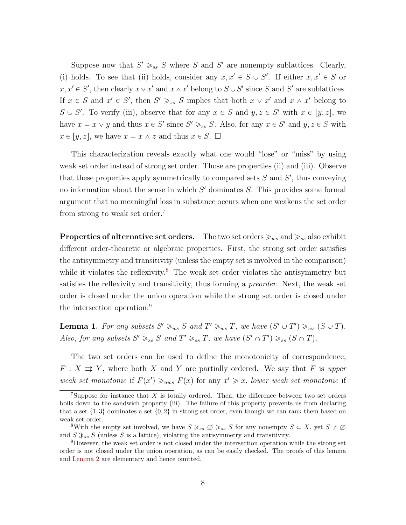Suppose now that  $S' \geq_{ss} S$  where S and S' are nonempty sublattices. Clearly, (i) holds. To see that (ii) holds, consider any  $x, x' \in S \cup S'$ . If either  $x, x' \in S$  or  $x, x' \in S'$ , then clearly  $x \vee x'$  and  $x \wedge x'$  belong to  $S \cup S'$  since S and S' are sublattices. If  $x \in S$  and  $x' \in S'$ , then  $S' \geq_{ss} S$  implies that both  $x \vee x'$  and  $x \wedge x'$  belong to  $S \cup S'$ . To verify (iii), observe that for any  $x \in S$  and  $y, z \in S'$  with  $x \in [y, z]$ , we have  $x = x \vee y$  and thus  $x \in S'$  since  $S' \geq_{ss} S$ . Also, for any  $x \in S'$  and  $y, z \in S$  with  $x \in [y, z]$ , we have  $x = x \wedge z$  and thus  $x \in S$ .  $\square$ 

This characterization reveals exactly what one would "lose" or "miss" by using weak set order instead of strong set order. Those are properties (ii) and (iii). Observe that these properties apply symmetrically to compared sets  $S$  and  $S'$ , thus conveying no information about the sense in which  $S'$  dominates  $S$ . This provides some formal argument that no meaningful loss in substance occurs when one weakens the set order from strong to weak set order.[7](#page-7-0)

**Properties of alternative set orders.** The two set orders  $\geq_{ws}$  and  $\geq_{ss}$  also exhibit different order-theoretic or algebraic properties. First, the strong set order satisfies the antisymmetry and transitivity (unless the empty set is involved in the comparison) while it violates the reflexivity.<sup>[8](#page-7-1)</sup> The weak set order violates the antisymmetry but satisfies the reflexivity and transitivity, thus forming a *preorder*. Next, the weak set order is closed under the union operation while the strong set order is closed under the intersection operation:<sup>[9](#page-7-2)</sup>

<span id="page-7-3"></span>**Lemma 1.** For any subsets  $S' \ge_{ws} S$  and  $T' \ge_{ws} T$ , we have  $(S' \cup T') \ge_{ws} (S \cup T)$ . Also, for any subsets  $S' \geq_{ss} S$  and  $T' \geq_{ss} T$ , we have  $(S' \cap T') \geq_{ss} (S \cap T)$ .

The two set orders can be used to define the monotonicity of correspondence,  $F: X \rightrightarrows Y$ , where both X and Y are partially ordered. We say that F is upper weak set monotonic if  $F(x') \geq_{uws} F(x)$  for any  $x' \geq x$ , lower weak set monotonic if

<span id="page-7-0"></span><sup>&</sup>lt;sup>7</sup>Suppose for instance that X is totally ordered. Then, the difference between two set orders boils down to the sandwich property (iii). The failure of this property prevents us from declaring that a set  $\{1, 3\}$  dominates a set  $\{0, 2\}$  in strong set order, even though we can rank them based on weak set order.

<span id="page-7-1"></span><sup>&</sup>lt;sup>8</sup>With the empty set involved, we have  $S \geq_{ss} \emptyset \geq_{ss} S$  for any nonempty  $S \subset X$ , yet  $S \neq \emptyset$ and  $S \geq s$  (unless S is a lattice), violating the antisymmetry and transitivity.

<span id="page-7-2"></span><sup>9</sup>However, the weak set order is not closed under the intersection operation while the strong set order is not closed under the union operation, as can be easily checked. The proofs of this lemma and [Lemma 2](#page-8-1) are elementary and hence omitted.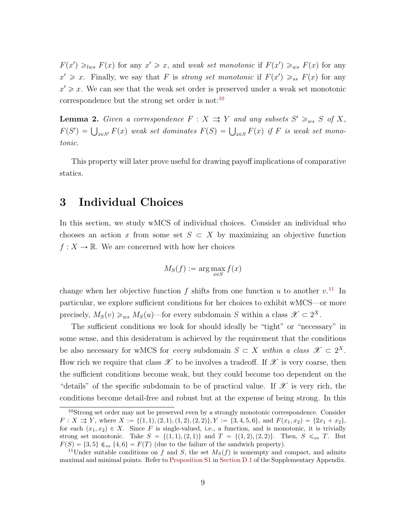$F(x') \geq_{lws} F(x)$  for any  $x' \geq x$ , and weak set monotonic if  $F(x') \geq_{ws} F(x)$  for any  $x' \geq x$ . Finally, we say that F is strong set monotonic if  $F(x') \geq_{ss} F(x)$  for any  $x' \geqslant x$ . We can see that the weak set order is preserved under a weak set monotonic correspondence but the strong set order is not:  $10$ 

<span id="page-8-1"></span>**Lemma 2.** Given a correspondence  $F: X \rightrightarrows Y$  and any subsets  $S' \geq_{ws} S$  of X, **Definite 2.** Given a correspondence  $F : X \to Y$  and any sabsets  $S \geq_{ws} S$  of  $X$ ,<br> $F(S') = \bigcup_{x \in S'} F(x)$  weak set dominates  $F(S) = \bigcup_{x \in S'} F(x)$  if F is weak set monotonic.

This property will later prove useful for drawing payoff implications of comparative statics.

### <span id="page-8-0"></span>3 Individual Choices

In this section, we study wMCS of individual choices. Consider an individual who chooses an action x from some set  $S \subset X$  by maximizing an objective function  $f: X \to \mathbb{R}$ . We are concerned with how her choices

$$
M_S(f) := \arg\max_{x \in S} f(x)
$$

change when her objective function f shifts from one function u to another  $v^{11}$  $v^{11}$  $v^{11}$  In particular, we explore sufficient conditions for her choices to exhibit wMCS—or more precisely,  $M_S(v) \geq_{ws} M_S(u)$ —for every subdomain S within a class  $\mathscr{X} \subset 2^X$ .

The sufficient conditions we look for should ideally be "tight" or "necessary" in some sense, and this desideratum is achieved by the requirement that the conditions be also necessary for wMCS for every subdomain  $S \subset X$  within a class  $\mathscr{X} \subset 2^X$ . How rich we require that class  $\mathscr X$  to be involves a tradeoff. If  $\mathscr X$  is very coarse, then the sufficient conditions become weak, but they could become too dependent on the "details" of the specific subdomain to be of practical value. If  $\mathscr X$  is very rich, the conditions become detail-free and robust but at the expense of being strong. In this

<span id="page-8-2"></span><sup>&</sup>lt;sup>10</sup>Strong set order may not be preserved even by a strongly monotonic correspondence. Consider  $F: X \rightrightarrows Y$ , where  $X := \{(1,1), (2,1), (1,2), (2,2)\}, Y := \{3, 4, 5, 6\}, \text{ and } F(x_1, x_2) = \{2x_1 + x_2\},$ for each  $(x_1, x_2) \in X$ . Since F is single-valued, i.e., a function, and is monotonic, it is trivially strong set monotonic. Take  $S = \{(1, 1), (2, 1)\}\$ and  $T = \{(1, 2), (2, 2)\}\$ . Then,  $S \leq_{ss} T$ . But  $F(S) = \{3, 5\} \xi_{ss} \{4, 6\} = F(T)$  (due to the failure of the sandwich property).

<span id="page-8-3"></span><sup>&</sup>lt;sup>11</sup>Under suitable conditions on f and S, the set  $M<sub>S</sub>(f)$  is nonempty and compact, and admits maximal and minimal points. Refer to [Proposition S1](#page-13-1) in Section D.1 of the Supplementary Appendix.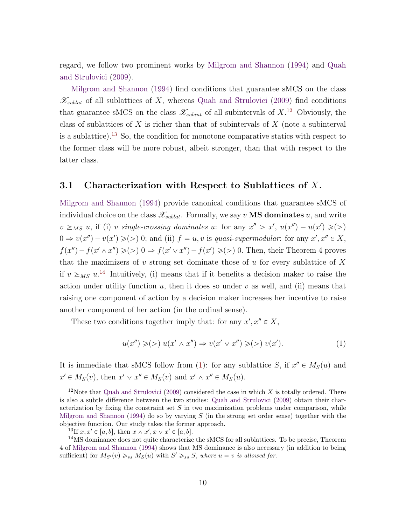<span id="page-9-4"></span>regard, we follow two prominent works by [Milgrom and Shannon](#page-46-0) [\(1994\)](#page-46-0) and [Quah](#page-47-2) [and Strulovici](#page-47-2) [\(2009\)](#page-47-2).

[Milgrom and Shannon](#page-46-0) [\(1994\)](#page-46-0) find conditions that guarantee sMCS on the class  $\mathscr{X}_{sublat}$  of all sublattices of X, whereas [Quah and Strulovici](#page-47-2) [\(2009\)](#page-47-2) find conditions that guarantee sMCS on the class  $\mathscr{X}_{subint}$  of all subintervals of  $X$ <sup>[12](#page-9-0)</sup> Obviously, the class of sublattices of X is richer than that of subintervals of  $X$  (note a subinterval is a sublattice).<sup>[13](#page-9-1)</sup> So, the condition for monotone comparative statics with respect to the former class will be more robust, albeit stronger, than that with respect to the latter class.

### 3.1 Characterization with Respect to Sublattices of  $X$ .

[Milgrom and Shannon](#page-46-0) [\(1994\)](#page-46-0) provide canonical conditions that guarantee sMCS of individual choice on the class  $\mathscr{X}_{sublat}$ . Formally, we say v **MS dominates** u, and write  $v \geq_{MS} u$ , if (i) v single-crossing dominates u: for any  $x'' > x'$ ,  $u(x'') - u(x') \geqslant (\geqslant)$  $0 \Rightarrow v(x'') - v(x') \geqslant (>)$  0; and (ii)  $f = u, v$  is quasi-supermodular: for any  $x', x'' \in X$ ,  $f(x'') - f(x' \wedge x'') \geq (>) 0 \Rightarrow f(x' \vee x'') - f(x') \geq (>) 0$ . Then, their Theorem 4 proves that the maximizers of  $v$  strong set dominate those of  $u$  for every sublattice of  $X$ if  $v \geq_{MS} u^{14}$  $v \geq_{MS} u^{14}$  $v \geq_{MS} u^{14}$  Intuitively, (i) means that if it benefits a decision maker to raise the action under utility function  $u$ , then it does so under  $v$  as well, and (ii) means that raising one component of action by a decision maker increases her incentive to raise another component of her action (in the ordinal sense).

These two conditions together imply that: for any  $x', x'' \in X$ ,

<span id="page-9-3"></span>
$$
u(x'') \geq (>) u(x' \wedge x'') \Rightarrow v(x' \vee x'') \geq (>) v(x'). \tag{1}
$$

It is immediate that sMCS follow from [\(1\)](#page-9-3): for any sublattice S, if  $x'' \in M_S(u)$  and  $x' \in M_S(v)$ , then  $x' \vee x'' \in M_S(v)$  and  $x' \wedge x'' \in M_S(u)$ .

<span id="page-9-0"></span><sup>&</sup>lt;sup>12</sup>Note that [Quah and Strulovici](#page-47-2) [\(2009\)](#page-47-2) considered the case in which  $X$  is totally ordered. There is also a subtle difference between the two studies: [Quah and Strulovici](#page-47-2) [\(2009\)](#page-47-2) obtain their characterization by fixing the constraint set  $S$  in two maximization problems under comparison, while [Milgrom and Shannon](#page-46-0) [\(1994\)](#page-46-0) do so by varying  $S$  (in the strong set order sense) together with the objective function. Our study takes the former approach.

<span id="page-9-2"></span><span id="page-9-1"></span><sup>&</sup>lt;sup>13</sup>If  $x, x' \in [a, b]$ , then  $x \wedge x', x \vee x' \in [a, b]$ .

<sup>&</sup>lt;sup>14</sup>MS dominance does not quite characterize the sMCS for all sublattices. To be precise, Theorem 4 of [Milgrom and Shannon](#page-46-0) [\(1994\)](#page-46-0) shows that MS dominance is also necessary (in addition to being sufficient) for  $M_{S'}(v) \geq_{ss} M_S(u)$  with  $S' \geq_{ss} S$ , where  $u = v$  is allowed for.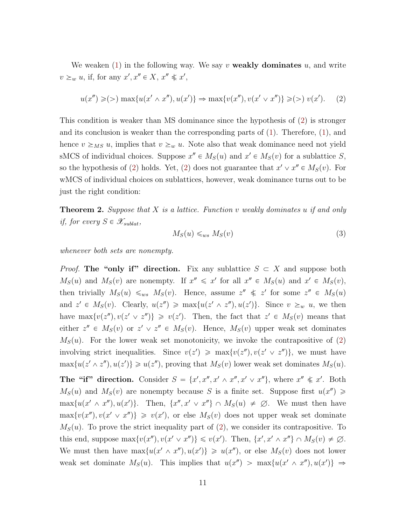We weaken  $(1)$  in the following way. We say v **weakly dominates** u, and write  $v \geq_w u$ , if, for any  $x', x'' \in X$ ,  $x'' \notin x'$ ,

$$
u(x'') \ge (>) \max\{u(x' \wedge x''), u(x')\} \Rightarrow \max\{v(x''), v(x' \vee x'')\} \ge (>) v(x'). \tag{2}
$$

This condition is weaker than MS dominance since the hypothesis of [\(2\)](#page-10-0) is stronger and its conclusion is weaker than the corresponding parts of [\(1\)](#page-9-3). Therefore, [\(1\)](#page-9-3), and hence  $v \geq_{MS} u$ , implies that  $v \geq_w u$ . Note also that weak dominance need not yield sMCS of individual choices. Suppose  $x'' \in M_S(u)$  and  $x' \in M_S(v)$  for a sublattice S, so the hypothesis of [\(2\)](#page-10-0) holds. Yet, (2) does not guarantee that  $x' \vee x'' \in M_S(v)$ . For wMCS of individual choices on sublattices, however, weak dominance turns out to be just the right condition:

<span id="page-10-1"></span>**Theorem 2.** Suppose that X is a lattice. Function v weakly dominates u if and only if, for every  $S \in \mathscr{X}_{sublat}$ ,

<span id="page-10-0"></span>
$$
M_S(u) \leqslant_{ws} M_S(v) \tag{3}
$$

whenever both sets are nonempty.

*Proof.* The "only if" direction. Fix any sublattice  $S \subset X$  and suppose both  $M_S(u)$  and  $M_S(v)$  are nonempty. If  $x'' \leq x'$  for all  $x'' \in M_S(u)$  and  $x' \in M_S(v)$ , then trivially  $M_S(u) \leq_{ws} M_S(v)$ . Hence, assume  $z'' \leq z'$  for some  $z'' \in M_S(u)$ and  $z' \in M_S(v)$ . Clearly,  $u(z'') \ge \max\{u(z' \wedge z''), u(z')\}$ . Since  $v \ge_w u$ , we then have  $\max\{v(z''), v(z' \vee z'')\} \geq v(z')$ . Then, the fact that  $z' \in M_S(v)$  means that either  $z'' \in M_S(v)$  or  $z' \vee z'' \in M_S(v)$ . Hence,  $M_S(v)$  upper weak set dominates  $M<sub>S</sub>(u)$ . For the lower weak set monotonicity, we invoke the contrapositive of [\(2\)](#page-10-0) involving strict inequalities. Since  $v(z') \ge \max\{v(z''), v(z' \vee z'')\}$ , we must have  $\max\{u(z' \wedge z''), u(z')\} \geq u(z''),$  proving that  $M_S(v)$  lower weak set dominates  $M_S(u)$ .

The "if" direction. Consider  $S = \{x', x'', x' \wedge x'', x' \vee x''\}$ , where  $x'' \notin x'$ . Both  $M_S(u)$  and  $M_S(v)$  are nonempty because S is a finite set. Suppose first  $u(x'') \geq$  $\max\{u(x' \wedge x''), u(x')\}.$  Then,  $\{x'', x' \vee x''\} \cap M_S(u) \neq \emptyset$ . We must then have  $\max\{v(x'') , v(x' \vee x'')\} \geq v(x')$ , or else  $M_S(v)$  does not upper weak set dominate  $M<sub>S</sub>(u)$ . To prove the strict inequality part of [\(2\)](#page-10-0), we consider its contrapositive. To this end, suppose  $\max\{v(x''), v(x' \vee x'')\} \leq v(x')$ . Then,  $\{x', x' \wedge x''\} \cap M_S(v) \neq \emptyset$ . We must then have  $\max\{u(x' \wedge x''), u(x')\} \geq u(x'')$ , or else  $M_S(v)$  does not lower weak set dominate  $M_S(u)$ . This implies that  $u(x'') > \max\{u(x' \wedge x''), u(x')\} \Rightarrow$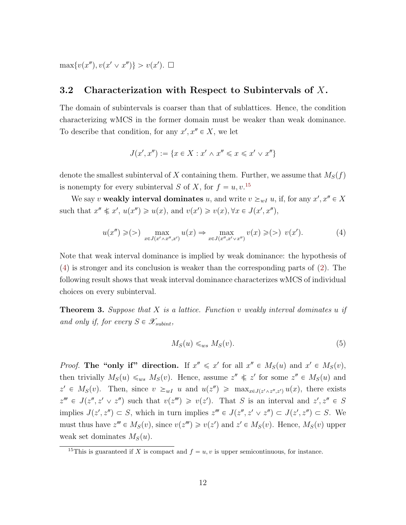$\max\{v(x''), v(x' \vee x'')\} > v(x')$ .  $\Box$ 

### 3.2 Characterization with Respect to Subintervals of X.

The domain of subintervals is coarser than that of sublattices. Hence, the condition characterizing wMCS in the former domain must be weaker than weak dominance. To describe that condition, for any  $x', x'' \in X$ , we let

$$
J(x',x'') := \{ x \in X : x' \wedge x'' \leqslant x \leqslant x' \vee x'' \}
$$

denote the smallest subinterval of X containing them. Further, we assume that  $M_S(f)$ is nonempty for every subinterval S of X, for  $f = u, v$ <sup>[15](#page-11-0)</sup>

We say v weakly interval dominates u, and write  $v \geq_{wI} u$ , if, for any  $x', x'' \in X$ such that  $x'' \nless x'$ ,  $u(x'') \geq u(x)$ , and  $v(x') \geq v(x)$ ,  $\forall x \in J(x', x'')$ ,

$$
u(x'') \geqslant (>) \max_{x \in J(x' \wedge x'', x')} u(x) \Rightarrow \max_{x \in J(x'', x' \vee x'')} v(x) \geqslant (>) v(x'). \tag{4}
$$

Note that weak interval dominance is implied by weak dominance: the hypothesis of [\(4\)](#page-11-1) is stronger and its conclusion is weaker than the corresponding parts of [\(2\)](#page-10-0). The following result shows that weak interval dominance characterizes wMCS of individual choices on every subinterval.

<span id="page-11-2"></span>**Theorem 3.** Suppose that  $X$  is a lattice. Function  $v$  weakly interval dominates  $u$  if and only if, for every  $S \in \mathscr{X}_{\text{subint}}$ ,

<span id="page-11-1"></span>
$$
M_S(u) \leq_{ws} M_S(v). \tag{5}
$$

*Proof.* The "only if" direction. If  $x'' \le x'$  for all  $x'' \in M_S(u)$  and  $x' \in M_S(v)$ , then trivially  $M_S(u) \leq_{ws} M_S(v)$ . Hence, assume  $z'' \leq z'$  for some  $z'' \in M_S(u)$  and  $z' \in M_S(v)$ . Then, since  $v \geq_{wI} u$  and  $u(z'') \geq \max_{x \in J(z' \wedge z'', z')} u(x)$ , there exists  $z'''' \in J(z'', z' \vee z'')$  such that  $v(z''') \geq v(z')$ . That S is an interval and  $z', z'' \in S$ implies  $J(z', z'') \subset S$ , which in turn implies  $z''' \in J(z'', z' \vee z'') \subset J(z', z'') \subset S$ . We must thus have  $z''' \in M_S(v)$ , since  $v(z''') \geq v(z')$  and  $z' \in M_S(v)$ . Hence,  $M_S(v)$  upper weak set dominates  $M_S(u)$ .

<span id="page-11-0"></span><sup>&</sup>lt;sup>15</sup>This is guaranteed if X is compact and  $f = u, v$  is upper semicontinuous, for instance.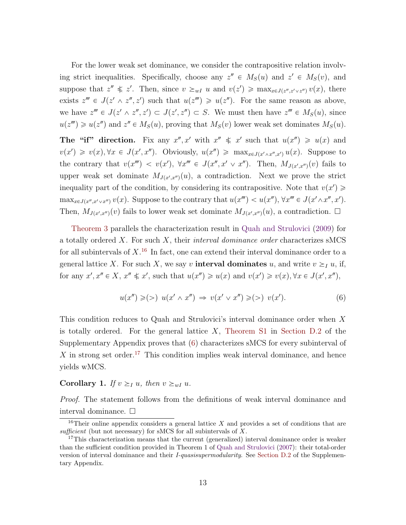<span id="page-12-3"></span>For the lower weak set dominance, we consider the contrapositive relation involving strict inequalities. Specifically, choose any  $z'' \in M_S(u)$  and  $z' \in M_S(v)$ , and suppose that  $z'' \nless z'$ . Then, since  $v \geq_{wI} u$  and  $v(z') \geq \max_{x \in J(z'',z' \vee z'')} v(x)$ , there exists  $z^{\prime\prime\prime} \in J(z^{\prime} \wedge z^{\prime\prime}, z^{\prime})$  such that  $u(z^{\prime\prime\prime}) \geq u(z^{\prime\prime})$ . For the same reason as above, we have  $z''' \in J(z' \wedge z'', z') \subset J(z', z'') \subset S$ . We must then have  $z''' \in M_S(u)$ , since  $u(z''') \geq u(z'')$  and  $z'' \in M_S(u)$ , proving that  $M_S(v)$  lower weak set dominates  $M_S(u)$ .

The "if" direction. Fix any  $x'', x'$  with  $x'' \leq x'$  such that  $u(x'') \geq u(x)$  and  $v(x') \geq v(x), \forall x \in J(x', x'')$ . Obviously,  $u(x'') \geq \max_{x \in J(x' \wedge x'', x')} u(x)$ . Suppose to the contrary that  $v(x''') < v(x')$ ,  $\forall x''' \in J(x'', x' \lor x'')$ . Then,  $M_{J(x',x'')}(v)$  fails to upper weak set dominate  $M_{J(x',x'')}(u)$ , a contradiction. Next we prove the strict inequality part of the condition, by considering its contrapositive. Note that  $v(x') \geq$  $\max_{x \in J(x'',x' \vee x'')} v(x)$ . Suppose to the contrary that  $u(x''') < u(x'')$ ,  $\forall x''' \in J(x' \wedge x'', x')$ . Then,  $M_{J(x',x'')}(v)$  fails to lower weak set dominate  $M_{J(x',x'')}(u)$ , a contradiction.  $\Box$ 

[Theorem 3](#page-11-2) parallels the characterization result in [Quah and Strulovici](#page-47-2) [\(2009\)](#page-47-2) for a totally ordered  $X$ . For such  $X$ , their *interval dominance order* characterizes sMCS for all subintervals of  $X<sup>16</sup>$  $X<sup>16</sup>$  $X<sup>16</sup>$  In fact, one can extend their interval dominance order to a general lattice X. For such X, we say v **interval dominates** u, and write  $v \geq I$  u, if, for any  $x', x'' \in X$ ,  $x'' \notin x'$ , such that  $u(x'') \geq u(x)$  and  $v(x') \geq v(x)$ ,  $\forall x \in J(x', x'')$ ,

<span id="page-12-1"></span>
$$
u(x'') \geq (>) u(x' \wedge x'') \Rightarrow v(x' \vee x'') \geq (>) v(x'). \tag{6}
$$

This condition reduces to Quah and Strulovici's interval dominance order when X is totally ordered. For the general lattice  $X$ , [Theorem S1](#page-6-2) in Section D.2 of the Supplementary Appendix proves that [\(6\)](#page-12-1) characterizes sMCS for every subinterval of X in strong set order.<sup>[17](#page-12-2)</sup> This condition implies weak interval dominance, and hence yields wMCS.

#### Corollary 1. If  $v \geq_I u$ , then  $v \geq_{wI} u$ .

Proof. The statement follows from the definitions of weak interval dominance and interval dominance.

<span id="page-12-0"></span><sup>&</sup>lt;sup>16</sup>Their online appendix considers a general lattice X and provides a set of conditions that are sufficient (but not necessary) for sMCS for all subintervals of  $X$ .

<span id="page-12-2"></span><sup>&</sup>lt;sup>17</sup>This characterization means that the current (generalized) interval dominance order is weaker than the sufficient condition provided in Theorem 1 of [Quah and Strulovici](#page-47-7) [\(2007\)](#page-47-7): their total-order version of interval dominance and their *I-quasisupermodularity*. See Section D.2 of the Supplementary Appendix.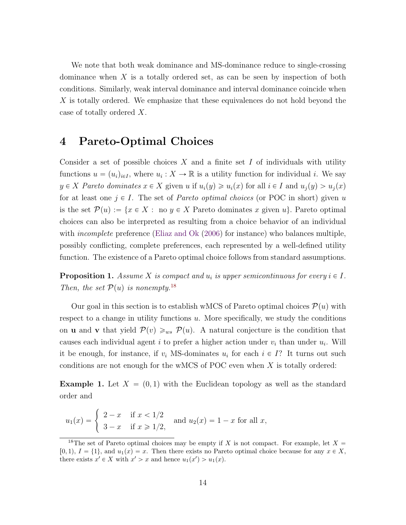<span id="page-13-4"></span>We note that both weak dominance and MS-dominance reduce to single-crossing dominance when  $X$  is a totally ordered set, as can be seen by inspection of both conditions. Similarly, weak interval dominance and interval dominance coincide when X is totally ordered. We emphasize that these equivalences do not hold beyond the case of totally ordered X.

### <span id="page-13-0"></span>4 Pareto-Optimal Choices

Consider a set of possible choices  $X$  and a finite set  $I$  of individuals with utility functions  $u = (u_i)_{i \in I}$ , where  $u_i : X \to \mathbb{R}$  is a utility function for individual i. We say  $y \in X$  Pareto dominates  $x \in X$  given u if  $u_i(y) \geq u_i(x)$  for all  $i \in I$  and  $u_i(y) > u_i(x)$ for at least one  $j \in I$ . The set of *Pareto optimal choices* (or POC in short) given u is the set  $\mathcal{P}(u) := \{x \in X : \text{no } y \in X \text{ Pareto dominates } x \text{ given } u\}.$  Pareto optimal choices can also be interpreted as resulting from a choice behavior of an individual with *incomplete* preference [\(Eliaz and Ok](#page-44-1) [\(2006\)](#page-44-1) for instance) who balances multiple, possibly conflicting, complete preferences, each represented by a well-defined utility function. The existence of a Pareto optimal choice follows from standard assumptions.

<span id="page-13-1"></span>**Proposition 1.** Assume X is compact and  $u_i$  is upper semicontinuous for every  $i \in I$ . Then, the set  $\mathcal{P}(u)$  is nonempty.<sup>[18](#page-13-2)</sup>

Our goal in this section is to establish wMCS of Pareto optimal choices  $\mathcal{P}(u)$  with respect to a change in utility functions  $u$ . More specifically, we study the conditions on **u** and **v** that yield  $\mathcal{P}(v) \geq_{ws} \mathcal{P}(u)$ . A natural conjecture is the condition that causes each individual agent i to prefer a higher action under  $v_i$  than under  $u_i$ . Will it be enough, for instance, if  $v_i$  MS-dominates  $u_i$  for each  $i \in I$ ? It turns out such conditions are not enough for the wMCS of POC even when  $X$  is totally ordered:

<span id="page-13-3"></span>**Example 1.** Let  $X = (0, 1)$  with the Euclidean topology as well as the standard order and

$$
u_1(x) =
$$
\n
$$
\begin{cases}\n2 - x & \text{if } x < 1/2 \\
3 - x & \text{if } x \ge 1/2,\n\end{cases}
$$
\nand  $u_2(x) = 1 - x$  for all x,

<span id="page-13-2"></span><sup>&</sup>lt;sup>18</sup>The set of Pareto optimal choices may be empty if X is not compact. For example, let  $X =$  $[0, 1), I = \{1\}$ , and  $u_1(x) = x$ . Then there exists no Pareto optimal choice because for any  $x \in X$ , there exists  $x' \in X$  with  $x' > x$  and hence  $u_1(x') > u_1(x)$ .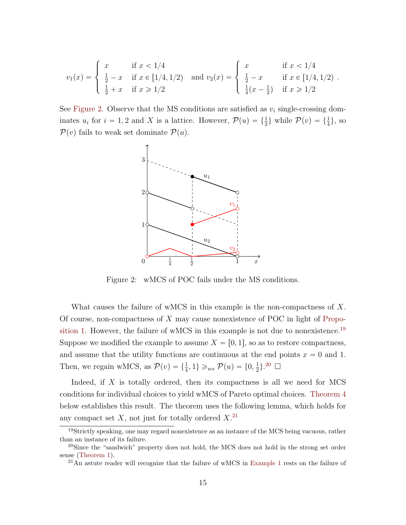$$
v_1(x) = \begin{cases} x & \text{if } x < 1/4 \\ \frac{1}{2} - x & \text{if } x \in [1/4, 1/2) \\ \frac{1}{2} + x & \text{if } x \ge 1/2 \end{cases} \text{ and } v_2(x) = \begin{cases} x & \text{if } x < 1/4 \\ \frac{1}{2} - x & \text{if } x \in [1/4, 1/2) \\ \frac{1}{4}(x - \frac{1}{2}) & \text{if } x \ge 1/2 \end{cases}
$$

See [Figure 2.](#page-14-0) Observe that the MS conditions are satisfied as  $v_i$  single-crossing dominates  $u_i$  for  $i = 1, 2$  and X is a lattice. However,  $\mathcal{P}(u) = \{\frac{1}{2}\}\$  while  $\mathcal{P}(v) = \{\frac{1}{4}\}\$ , so  $P(v)$  fails to weak set dominate  $P(u)$ .



<span id="page-14-0"></span>Figure 2: wMCS of POC fails under the MS conditions.

What causes the failure of wMCS in this example is the non-compactness of  $X$ . Of course, non-compactness of  $X$  may cause nonexistence of POC in light of [Propo](#page-13-1)[sition 1.](#page-13-1) However, the failure of wMCS in this example is not due to nonexistence.<sup>[19](#page-14-1)</sup> Suppose we modified the example to assume  $X = \{0, 1\}$ , so as to restore compactness, and assume that the utility functions are continuous at the end points  $x = 0$  and 1. Then, we regain wMCS, as  $\mathcal{P}(v) = \{\frac{1}{4}, 1\} \geq w \mathcal{P}(u) = \{0, \frac{1}{2}\}$  $\frac{1}{2}$ .<sup>[20](#page-14-2)</sup>  $\Box$ 

Indeed, if  $X$  is totally ordered, then its compactness is all we need for MCS conditions for individual choices to yield wMCS of Pareto optimal choices. [Theorem 4](#page-15-0) below establishes this result. The theorem uses the following lemma, which holds for any compact set  $X$ , not just for totally ordered  $X$ .<sup>[21](#page-14-3)</sup>

<span id="page-14-4"></span><span id="page-14-1"></span><sup>&</sup>lt;sup>19</sup>Strictly speaking, one may regard nonexistence as an instance of the MCS being vacuous, rather than an instance of its failure.

<span id="page-14-2"></span> $^{20}$ Since the "sandwich" property does not hold, the MCS does not hold in the strong set order sense [\(Theorem 1\)](#page-6-2).

<span id="page-14-3"></span><sup>&</sup>lt;sup>21</sup>An astute reader will recognize that the failure of wMCS in [Example 1](#page-13-3) rests on the failure of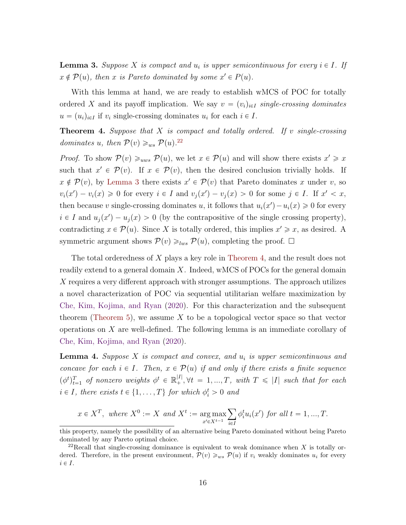<span id="page-15-3"></span>**Lemma 3.** Suppose X is compact and  $u_i$  is upper semicontinuous for every  $i \in I$ . If  $x \notin \mathcal{P}(u)$ , then x is Pareto dominated by some  $x' \in P(u)$ .

With this lemma at hand, we are ready to establish wMCS of POC for totally ordered X and its payoff implication. We say  $v = (v_i)_{i \in I}$  single-crossing dominates  $u = (u_i)_{i \in I}$  if  $v_i$  single-crossing dominates  $u_i$  for each  $i \in I$ .

<span id="page-15-0"></span>**Theorem 4.** Suppose that  $X$  is compact and totally ordered. If v single-crossing dominates u, then  $\mathcal{P}(v) \geq_{ws} \mathcal{P}(u)$ .<sup>[22](#page-15-1)</sup>

*Proof.* To show  $\mathcal{P}(v) \geq_{uws} \mathcal{P}(u)$ , we let  $x \in \mathcal{P}(u)$  and will show there exists  $x' \geq x$ such that  $x' \in \mathcal{P}(v)$ . If  $x \in \mathcal{P}(v)$ , then the desired conclusion trivially holds. If  $x \notin \mathcal{P}(v)$ , by [Lemma 3](#page-14-4) there exists  $x' \in \mathcal{P}(v)$  that Pareto dominates x under v, so  $v_i(x') - v_i(x) \geq 0$  for every  $i \in I$  and  $v_j(x') - v_j(x) > 0$  for some  $j \in I$ . If  $x' < x$ , then because v single-crossing dominates u, it follows that  $u_i(x') - u_i(x) \geq 0$  for every  $i \in I$  and  $u_j(x') - u_j(x) > 0$  (by the contrapositive of the single crossing property), contradicting  $x \in \mathcal{P}(u)$ . Since X is totally ordered, this implies  $x' \geq x$ , as desired. A symmetric argument shows  $\mathcal{P}(v) \geq_{lws} \mathcal{P}(u)$ , completing the proof.  $\Box$ 

The total orderedness of X plays a key role in [Theorem 4,](#page-15-0) and the result does not readily extend to a general domain  $X$ . Indeed, wMCS of POCs for the general domain X requires a very different approach with stronger assumptions. The approach utilizes a novel characterization of POC via sequential utilitarian welfare maximization by [Che, Kim, Kojima, and Ryan](#page-44-2) [\(2020\)](#page-44-2). For this characterization and the subsequent theorem [\(Theorem 5\)](#page-16-0), we assume X to be a topological vector space so that vector operations on X are well-defined. The following lemma is an immediate corollary of [Che, Kim, Kojima, and Ryan](#page-44-2) [\(2020\)](#page-44-2).

<span id="page-15-2"></span>**Lemma 4.** Suppose  $X$  is compact and convex, and  $u_i$  is upper semicontinuous and concave for each  $i \in I$ . Then,  $x \in \mathcal{P}(u)$  if and only if there exists a finite sequence  $(\phi^t)_{t=1}^T$  of nonzero weights  $\phi^t \in \mathbb{R}_+^{|I|}, \forall t = 1, ..., T$ , with  $T \leq |I|$  such that for each  $i \in I$ , there exists  $t \in \{1, ..., T\}$  for which  $\phi_i^t > 0$  and

$$
x \in X^T
$$
, where  $X^0 := X$  and  $X^t := \underset{x' \in X^{t-1}}{\arg \max} \sum_{i \in I} \phi_i^t u_i(x')$  for all  $t = 1, ..., T$ .

this property, namely the possibility of an alternative being Pareto dominated without being Pareto dominated by any Pareto optimal choice.

<span id="page-15-1"></span><sup>&</sup>lt;sup>22</sup>Recall that single-crossing dominance is equivalent to weak dominance when X is totally ordered. Therefore, in the present environment,  $\mathcal{P}(v) \geq_{ws} \mathcal{P}(u)$  if  $v_i$  weakly dominates  $u_i$  for every  $i \in I$ .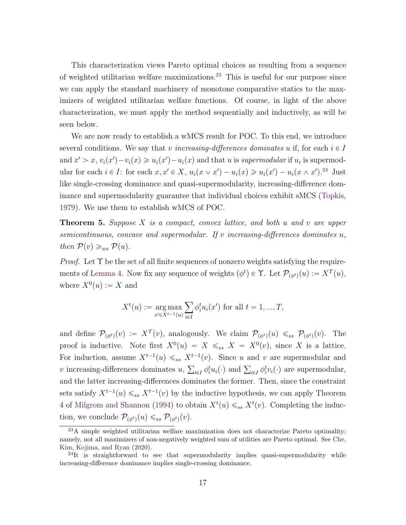<span id="page-16-3"></span>This characterization views Pareto optimal choices as resulting from a sequence of weighted utilitarian welfare maximizations.[23](#page-16-1) This is useful for our purpose since we can apply the standard machinery of monotone comparative statics to the maximizers of weighted utilitarian welfare functions. Of course, in light of the above characterization, we must apply the method sequentially and inductively, as will be seen below.

We are now ready to establish a wMCS result for POC. To this end, we introduce several conditions. We say that v increasing-differences dominates u if, for each  $i \in I$ and  $x' > x$ ,  $v_i(x') - v_i(x) \ge u_i(x') - u_i(x)$  and that u is supermodular if  $u_i$  is supermodular for each  $i \in I$ : for each  $x, x' \in X$ ,  $u_i(x \vee x') - u_i(x) \geq u_i(x') - u_i(x \wedge x')$ .<sup>[24](#page-16-2)</sup> Just like single-crossing dominance and quasi-supermodularity, increasing-difference dominance and supermodularity guarantee that individual choices exhibit sMCS [\(Topkis,](#page-47-0) [1979\)](#page-47-0). We use them to establish wMCS of POC.

<span id="page-16-0"></span>**Theorem 5.** Suppose  $X$  is a compact, convex lattice, and both  $u$  and  $v$  are upper semicontinuous, concave and supermodular. If v increasing-differences dominates u, then  $\mathcal{P}(v) \geq_{ws} \mathcal{P}(u)$ .

*Proof.* Let  $\Upsilon$  be the set of all finite sequences of nonzero weights satisfying the require-ments of [Lemma 4.](#page-15-2) Now fix any sequence of weights  $(\phi^t) \in \Upsilon$ . Let  $\mathcal{P}_{(\phi^t)}(u) := X^T(u)$ , where  $X^0(u) := X$  and

$$
X^{t}(u) := \underset{x' \in X^{t-1}(u)}{\arg \max} \sum_{i \in I} \phi_{i}^{t} u_{i}(x') \text{ for all } t = 1, ..., T,
$$

and define  $\mathcal{P}_{(\phi^t)}(v) := X^T(v)$ , analogously. We claim  $\mathcal{P}_{(\phi^t)}(u) \leq_{ss} \mathcal{P}_{(\phi^t)}(v)$ . The proof is inductive. Note first  $X^0(u) = X \leq_{ss} X = X^0(v)$ , since X is a lattice. For induction, assume  $X^{t-1}(u) \leq s$   $X^{t-1}(v)$ . Since u and v are supermodular and For induction, assume  $X = (u) \leq_{ss} X = (v)$ . Since *u* and *v* are supermodular and *v* increasing-differences dominates  $u, \sum_{i \in I} \phi_i^t u_i(\cdot)$  and  $\sum_{i \in I} \phi_i^t v_i(\cdot)$  are supermodular, and the latter increasing-differences dominates the former. Then, since the constraint sets satisfy  $X^{t-1}(u) \leq s s X^{t-1}(v)$  by the inductive hypothesis, we can apply Theorem 4 of [Milgrom and Shannon](#page-46-0) [\(1994\)](#page-46-0) to obtain  $X^t(u) \leq_{ss} X^t(v)$ . Completing the induction, we conclude  $\mathcal{P}_{(\phi^t)}(u) \leq_{ss} \mathcal{P}_{(\phi^t)}(v)$ .

<span id="page-16-1"></span> $^{23}$ A simple weighted utilitarian welfare maximization does not characterize Pareto optimality; namely, not all maximizers of non-negatively weighted sum of utilities are Pareto optimal. See [Che,](#page-44-2) [Kim, Kojima, and Ryan](#page-44-2) [\(2020\)](#page-44-2).

<span id="page-16-2"></span> $^{24}$ It is straightforward to see that supermodularity implies quasi-supermodularity while increasing-difference dominance implies single-crossing dominance.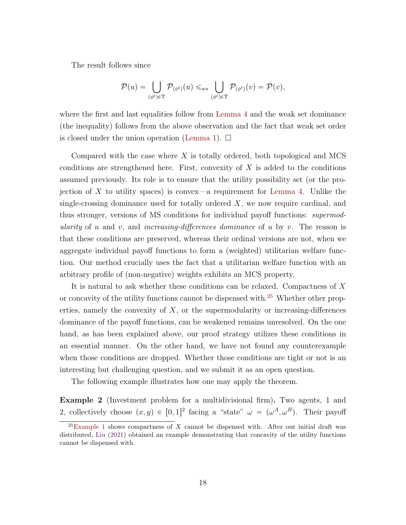<span id="page-17-2"></span>The result follows since

$$
\mathcal{P}(u) = \bigcup_{(\phi^t) \in \Upsilon} \mathcal{P}_{(\phi^t)}(u) \leq_{ws} \bigcup_{(\phi^t) \in \Upsilon} \mathcal{P}_{(\phi^t)}(v) = \mathcal{P}(v),
$$

where the first and last equalities follow from [Lemma 4](#page-15-2) and the weak set dominance (the inequality) follows from the above observation and the fact that weak set order is closed under the union operation [\(Lemma 1\)](#page-7-3).  $\Box$ 

Compared with the case where  $X$  is totally ordered, both topological and MCS conditions are strengthened here. First, convexity of  $X$  is added to the conditions assumed previously. Its role is to ensure that the utility possibility set (or the pro-jection of X to utility spaces) is convex—a requirement for [Lemma 4.](#page-15-2) Unlike the single-crossing dominance used for totally ordered  $X$ , we now require cardinal, and thus stronger, versions of MS conditions for individual payoff functions: *supermod*ularity of u and v, and increasing-differences dominance of u by v. The reason is that these conditions are preserved, whereas their ordinal versions are not, when we aggregate individual payoff functions to form a (weighted) utilitarian welfare function. Our method crucially uses the fact that a utilitarian welfare function with an arbitrary profile of (non-negative) weights exhibits an MCS property.

It is natural to ask whether these conditions can be relaxed. Compactness of X or concavity of the utility functions cannot be dispensed with.[25](#page-17-0) Whether other properties, namely the convexity of  $X$ , or the supermodularity or increasing-differences dominance of the payoff functions, can be weakened remains unresolved. On the one hand, as has been explained above, our proof strategy utilizes these conditions in an essential manner. On the other hand, we have not found any counterexample when those conditions are dropped. Whether those conditions are tight or not is an interesting but challenging question, and we submit it as an open question.

The following example illustrates how one may apply the theorem.

<span id="page-17-1"></span>Example 2 (Investment problem for a multidivisional firm). Two agents, 1 and 2, collectively choose  $(x, y) \in [0, 1]^2$  facing a "state"  $\omega = (\omega^A, \omega^B)$ . Their payoff

<span id="page-17-0"></span> $^{25}$ [Example 1](#page-13-3) shows compactness of X cannot be dispensed with. After our initial draft was distributed, [Liu](#page-46-5) [\(2021\)](#page-46-5) obtained an example demonstrating that concavity of the utility functions cannot be dispensed with.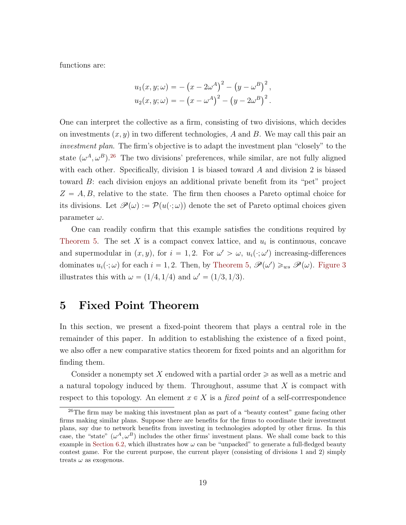functions are:

$$
u_1(x, y; \omega) = -(x - 2\omega^A)^2 - (y - \omega^B)^2,
$$
  

$$
u_2(x, y; \omega) = -(x - \omega^A)^2 - (y - 2\omega^B)^2.
$$

One can interpret the collective as a firm, consisting of two divisions, which decides on investments  $(x, y)$  in two different technologies, A and B. We may call this pair an investment plan. The firm's objective is to adapt the investment plan "closely" to the state  $(\omega^A, \omega^B)^{26}$  $(\omega^A, \omega^B)^{26}$  $(\omega^A, \omega^B)^{26}$  The two divisions' preferences, while similar, are not fully aligned with each other. Specifically, division 1 is biased toward  $A$  and division 2 is biased toward B: each division enjoys an additional private benefit from its "pet" project  $Z = A, B$ , relative to the state. The firm then chooses a Pareto optimal choice for its divisions. Let  $\mathscr{P}(\omega) := \mathcal{P}(u(\cdot;\omega))$  denote the set of Pareto optimal choices given parameter  $\omega$ .

One can readily confirm that this example satisfies the conditions required by [Theorem 5.](#page-16-0) The set X is a compact convex lattice, and  $u_i$  is continuous, concave and supermodular in  $(x, y)$ , for  $i = 1, 2$ . For  $\omega' > \omega$ ,  $u_i(\cdot; \omega')$  increasing-differences dominates  $u_i(\cdot;\omega)$  for each  $i = 1, 2$ . Then, by [Theorem 5,](#page-16-0)  $\mathscr{P}(\omega') \geq_{ws} \mathscr{P}(\omega)$ . [Figure 3](#page-19-0) illustrates this with  $\omega = (1/4, 1/4)$  and  $\omega' = (1/3, 1/3)$ .

# <span id="page-18-0"></span>5 Fixed Point Theorem

In this section, we present a fixed-point theorem that plays a central role in the remainder of this paper. In addition to establishing the existence of a fixed point, we also offer a new comparative statics theorem for fixed points and an algorithm for finding them.

Consider a nonempty set X endowed with a partial order  $\geq$  as well as a metric and a natural topology induced by them. Throughout, assume that  $X$  is compact with respect to this topology. An element  $x \in X$  is a fixed point of a self-corrrespondence

<span id="page-18-1"></span><sup>&</sup>lt;sup>26</sup>The firm may be making this investment plan as part of a "beauty contest" game facing other firms making similar plans. Suppose there are benefits for the firms to coordinate their investment plans, say due to network benefits from investing in technologies adopted by other firms. In this case, the "state"  $(\omega^A, \omega^B)$  includes the other firms' investment plans. We shall come back to this example in [Section 6.2,](#page-29-0) which illustrates how  $\omega$  can be "unpacked" to generate a full-fledged beauty contest game. For the current purpose, the current player (consisting of divisions 1 and 2) simply treats  $\omega$  as exogenous.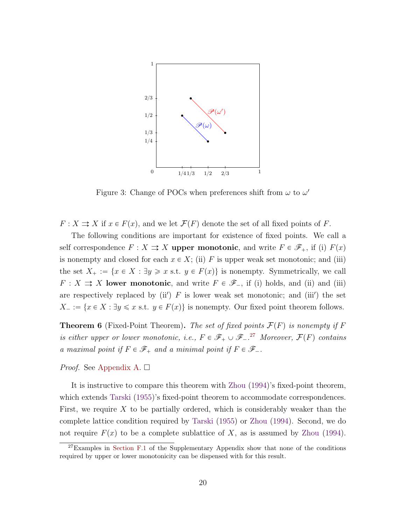<span id="page-19-3"></span>

<span id="page-19-0"></span>Figure 3: Change of POCs when preferences shift from  $\omega$  to  $\omega'$ 

 $F: X \rightrightarrows X$  if  $x \in F(x)$ , and we let  $\mathcal{F}(F)$  denote the set of all fixed points of F.

The following conditions are important for existence of fixed points. We call a self correspondence  $F: X \rightrightarrows X$  upper monotonic, and write  $F \in \mathscr{F}_+$ , if (i)  $F(x)$ is nonempty and closed for each  $x \in X$ ; (ii) F is upper weak set monotonic; and (iii) the set  $X_+ := \{x \in X : \exists y \geq x \text{ s.t. } y \in F(x)\}\$ is nonempty. Symmetrically, we call  $F: X \rightrightarrows X$  lower monotonic, and write  $F \in \mathscr{F}_-$ , if (i) holds, and (ii) and (iii) are respectively replaced by  $(ii')$  F is lower weak set monotonic; and  $(iii')$  the set  $X_{-} := \{x \in X : \exists y \leq x \text{ s.t. } y \in F(x)\}\$ is nonempty. Our fixed point theorem follows.

<span id="page-19-2"></span>**Theorem 6** (Fixed-Point Theorem). The set of fixed points  $\mathcal{F}(F)$  is nonempty if F is either upper or lower monotonic, i.e.,  $F \in \mathscr{F}_+ \cup \mathscr{F}_-$ .<sup>[27](#page-19-1)</sup> Moreover,  $\mathcal{F}(F)$  contains a maximal point if  $F \in \mathscr{F}_+$  and a minimal point if  $F \in \mathscr{F}_-.$ 

#### *Proof.* See [Appendix A.](#page-40-0)  $\square$

It is instructive to compare this theorem with [Zhou](#page-47-5) [\(1994\)](#page-47-5)'s fixed-point theorem, which extends [Tarski](#page-47-4) [\(1955\)](#page-47-4)'s fixed-point theorem to accommodate correspondences. First, we require  $X$  to be partially ordered, which is considerably weaker than the complete lattice condition required by [Tarski](#page-47-4) [\(1955\)](#page-47-4) or [Zhou](#page-47-5) [\(1994\)](#page-47-5). Second, we do not require  $F(x)$  to be a complete sublattice of X, as is assumed by [Zhou](#page-47-5) [\(1994\)](#page-47-5).

<span id="page-19-1"></span><sup>&</sup>lt;sup>27</sup>Examples in [Section F.1](#page-24-0) of the Supplementary Appendix show that none of the conditions required by upper or lower monotonicity can be dispensed with for this result.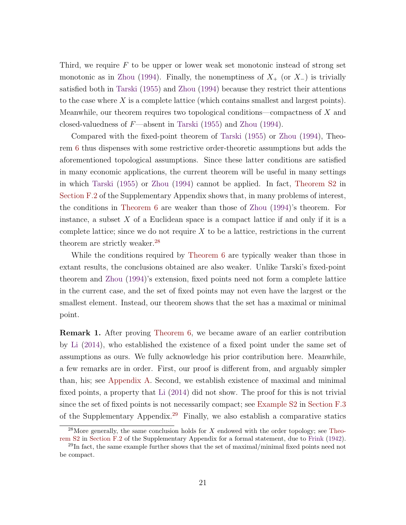<span id="page-20-2"></span>Third, we require  $F$  to be upper or lower weak set monotonic instead of strong set monotonic as in [Zhou](#page-47-5) [\(1994\)](#page-47-5). Finally, the nonemptiness of  $X_+$  (or  $X_-$ ) is trivially satisfied both in [Tarski](#page-47-4) [\(1955\)](#page-47-4) and [Zhou](#page-47-5) [\(1994\)](#page-47-5) because they restrict their attentions to the case where X is a complete lattice (which contains smallest and largest points). Meanwhile, our theorem requires two topological conditions—compactness of  $X$  and closed-valuedness of  $F$ —absent in [Tarski](#page-47-4) [\(1955\)](#page-47-4) and [Zhou](#page-47-5) [\(1994\)](#page-47-5).

Compared with the fixed-point theorem of [Tarski](#page-47-4) [\(1955\)](#page-47-4) or [Zhou](#page-47-5) [\(1994\)](#page-47-5), Theorem [6](#page-19-2) thus dispenses with some restrictive order-theoretic assumptions but adds the aforementioned topological assumptions. Since these latter conditions are satisfied in many economic applications, the current theorem will be useful in many settings in which [Tarski](#page-47-4) [\(1955\)](#page-47-4) or [Zhou](#page-47-5) [\(1994\)](#page-47-5) cannot be applied. In fact, [Theorem S2](#page-10-1) in [Section F.2](#page-27-0) of the Supplementary Appendix shows that, in many problems of interest, the conditions in [Theorem 6](#page-19-2) are weaker than those of [Zhou](#page-47-5) [\(1994\)](#page-47-5)'s theorem. For instance, a subset  $X$  of a Euclidean space is a compact lattice if and only if it is a complete lattice; since we do not require  $X$  to be a lattice, restrictions in the current theorem are strictly weaker.<sup>[28](#page-20-0)</sup>

While the conditions required by [Theorem 6](#page-19-2) are typically weaker than those in extant results, the conclusions obtained are also weaker. Unlike Tarski's fixed-point theorem and [Zhou](#page-47-5) [\(1994\)](#page-47-5)'s extension, fixed points need not form a complete lattice in the current case, and the set of fixed points may not even have the largest or the smallest element. Instead, our theorem shows that the set has a maximal or minimal point.

Remark 1. After proving [Theorem 6,](#page-19-2) we became aware of an earlier contribution by [Li](#page-46-6) [\(2014\)](#page-46-6), who established the existence of a fixed point under the same set of assumptions as ours. We fully acknowledge his prior contribution here. Meanwhile, a few remarks are in order. First, our proof is different from, and arguably simpler than, his; see [Appendix A.](#page-40-0) Second, we establish existence of maximal and minimal fixed points, a property that [Li](#page-46-6) [\(2014\)](#page-46-6) did not show. The proof for this is not trivial since the set of fixed points is not necessarily compact; see [Example S2](#page-17-1) in Section F.3 of the Supplementary Appendix.<sup>[29](#page-20-1)</sup> Finally, we also establish a comparative statics

<span id="page-20-0"></span><sup>&</sup>lt;sup>28</sup>More generally, the same conclusion holds for X endowed with the order topology; see [Theo](#page-10-1)[rem S2](#page-10-1) in [Section F.2](#page-27-0) of the Supplementary Appendix for a formal statement, due to [Frink](#page-45-1) [\(1942\)](#page-45-1).

<span id="page-20-1"></span> $^{29}$ In fact, the same example further shows that the set of maximal/minimal fixed points need not be compact.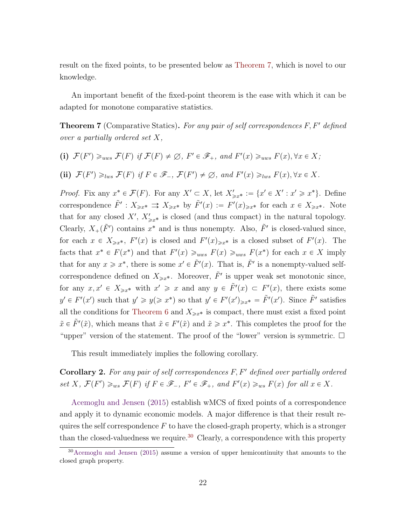<span id="page-21-2"></span>result on the fixed points, to be presented below as [Theorem 7,](#page-21-0) which is novel to our knowledge.

An important benefit of the fixed-point theorem is the ease with which it can be adapted for monotone comparative statistics.

<span id="page-21-0"></span>**Theorem 7** (Comparative Statics). For any pair of self correspondences  $F, F'$  defined over a partially ordered set X,

\n- (i) 
$$
\mathcal{F}(F') \geq_{uws} \mathcal{F}(F)
$$
 if  $\mathcal{F}(F) \neq \emptyset$ ,  $F' \in \mathcal{F}_+$ , and  $F'(x) \geq_{uws} F(x)$ ,  $\forall x \in X$ ;
\n- (ii)  $\mathcal{F}(F') \geq_{lws} \mathcal{F}(F)$  if  $F \in \mathcal{F}_-, \mathcal{F}(F') \neq \emptyset$ , and  $F'(x) \geq_{lws} F(x)$ ,  $\forall x \in X$ .
\n

*Proof.* Fix any  $x^* \in \mathcal{F}(F)$ . For any  $X' \subset X$ , let  $X'_{\geq x^*} := \{x' \in X' : x' \geq x^*\}$ . Define correspondence  $\tilde{F}' : X_{\geq x^*} \rightrightarrows X_{\geq x^*}$  by  $\tilde{F}'(x) := F'(x)_{\geq x^*}$  for each  $x \in X_{\geq x^*}$ . Note that for any closed  $X'$ ,  $X'_{\geq x^*}$  is closed (and thus compact) in the natural topology. Clearly,  $X_+(\tilde{F}')$  contains  $x^*$  and is thus nonempty. Also,  $\tilde{F}'$  is closed-valued since, for each  $x \in X_{\geq x^*}$ ,  $F'(x)$  is closed and  $F'(x)_{\geq x^*}$  is a closed subset of  $F'(x)$ . The facts that  $x^* \in F(x^*)$  and that  $F'(x) \geq_{uws} F(x) \geq_{uws} F(x^*)$  for each  $x \in X$  imply that for any  $x \geq x^*$ , there is some  $x' \in \tilde{F}'(x)$ . That is,  $\tilde{F}'$  is a nonempty-valued selfcorrespondence defined on  $X_{\geq x^*}$ . Moreover,  $\tilde{F}'$  is upper weak set monotonic since, for any  $x, x' \in X_{\geqslant x^*}$  with  $x' \geqslant x$  and any  $y \in \tilde{F}'(x) \subset F'(x)$ , there exists some  $y' \in F'(x')$  such that  $y' \geq y (\geq x^*)$  so that  $y' \in F'(x')_{\geq x^*} = \tilde{F}'(x')$ . Since  $\tilde{F}'$  satisfies all the conditions for [Theorem 6](#page-19-2) and  $X_{\geq x^*}$  is compact, there must exist a fixed point  $\tilde{x} \in \tilde{F}'(\tilde{x})$ , which means that  $\tilde{x} \in F'(\tilde{x})$  and  $\tilde{x} \geq x^*$ . This completes the proof for the "upper" version of the statement. The proof of the "lower" version is symmetric.  $\Box$ 

This result immediately implies the following corollary.

**Corollary 2.** For any pair of self correspondences  $F, F'$  defined over partially ordered set X,  $\mathcal{F}(F') \geq_{ws} \mathcal{F}(F)$  if  $F \in \mathscr{F}_-, F' \in \mathscr{F}_+,$  and  $F'(x) \geq_{ws} F(x)$  for all  $x \in X$ .

[Acemoglu and Jensen](#page-43-1) [\(2015\)](#page-43-1) establish wMCS of fixed points of a correspondence and apply it to dynamic economic models. A major difference is that their result requires the self correspondence  $F$  to have the closed-graph property, which is a stronger than the closed-valuedness we require.<sup>[30](#page-21-1)</sup> Clearly, a correspondence with this property

<span id="page-21-1"></span> $30$ [Acemoglu and Jensen](#page-43-1) [\(2015\)](#page-43-1) assume a version of upper hemicontinuity that amounts to the closed graph property.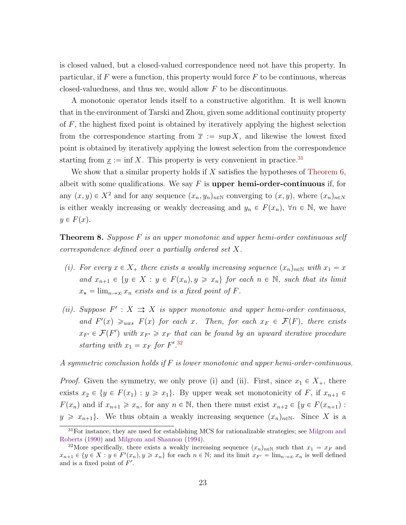<span id="page-22-3"></span>is closed valued, but a closed-valued correspondence need not have this property. In particular, if  $F$  were a function, this property would force  $F$  to be continuous, whereas closed-valuedness, and thus we, would allow F to be discontinuous.

A monotonic operator lends itself to a constructive algorithm. It is well known that in the environment of Tarski and Zhou, given some additional continuity property of  $F$ , the highest fixed point is obtained by iteratively applying the highest selection from the correspondence starting from  $\bar{x} := \sup X$ , and likewise the lowest fixed point is obtained by iteratively applying the lowest selection from the correspondence starting from  $\underline{x} := \inf X$ . This property is very convenient in practice.<sup>[31](#page-22-0)</sup>

We show that a similar property holds if  $X$  satisfies the hypotheses of [Theorem 6,](#page-19-2) albeit with some qualifications. We say  $F$  is upper hemi-order-continuous if, for any  $(x, y) \in X^2$  and for any sequence  $(x_n, y_n)_{n \in \mathbb{N}}$  converging to  $(x, y)$ , where  $(x_n)_{n \in \mathbb{N}}$ is either weakly increasing or weakly decreasing and  $y_n \in F(x_n)$ ,  $\forall n \in \mathbb{N}$ , we have  $y \in F(x)$ .

<span id="page-22-2"></span>**Theorem 8.** Suppose F is an upper monotonic and upper hemi-order continuous self correspondence defined over a partially ordered set X.

- (i). For every  $x \in X_+$  there exists a weakly increasing sequence  $(x_n)_{n \in \mathbb{N}}$  with  $x_1 = x$ and  $x_{n+1} \in \{y \in X : y \in F(x_n), y \geq x_n\}$  for each  $n \in \mathbb{N}$ , such that its limit  $x_* = \lim_{n \to \infty} x_n$  exists and is a fixed point of F.
- (ii). Suppose  $F' : X \rightrightarrows X$  is upper monotonic and upper hemi-order continuous, and  $F'(x) \geq_{uws} F(x)$  for each x. Then, for each  $x_F \in \mathcal{F}(F)$ , there exists  $x_{F'} \in \mathcal{F}(F')$  with  $x_{F'} \geq x_F$  that can be found by an upward iterative procedure starting with  $x_1 = x_F$  for  $F'.^{32}$  $F'.^{32}$  $F'.^{32}$

A symmetric conclusion holds if F is lower monotonic and upper hemi-order-continuous.

*Proof.* Given the symmetry, we only prove (i) and (ii). First, since  $x_1 \in X_+$ , there exists  $x_2 \in \{y \in F(x_1) : y \geq x_1\}$ . By upper weak set monotonicity of F, if  $x_{n+1} \in$  $F(x_n)$  and if  $x_{n+1} \geq x_n$ , for any  $n \in \mathbb{N}$ , then there must exist  $x_{n+2} \in \{y \in F(x_{n+1})\}$ :  $y \geq x_{n+1}$ . We thus obtain a weakly increasing sequence  $(x_n)_{n\in\mathbb{N}}$ . Since X is a

<span id="page-22-0"></span> $31$  For instance, they are used for establishing MCS for rationalizable strategies; see [Milgrom and](#page-46-1) [Roberts](#page-46-1) [\(1990\)](#page-46-1) and [Milgrom and Shannon](#page-46-0) [\(1994\)](#page-46-0).

<span id="page-22-1"></span><sup>&</sup>lt;sup>32</sup>More specifically, there exists a weakly increasing sequence  $(x_n)_{n\in\mathbb{N}}$  such that  $x_1 = x_F$  and  $x_{n+1} \in \{y \in X : y \in F'(x_n), y \geq x_n\}$  for each  $n \in \mathbb{N}$ ; and its limit  $x_{F'} = \lim_{n \to \infty} x_n$  is well defined and is a fixed point of  $F'$ .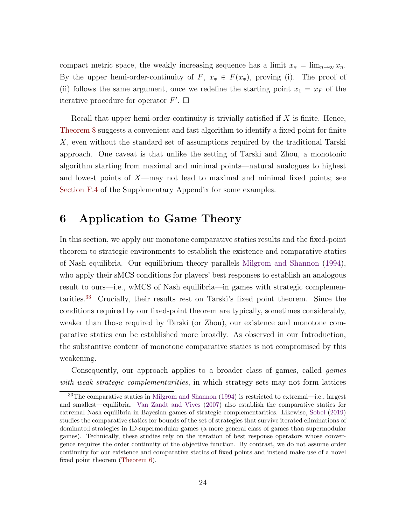<span id="page-23-2"></span>compact metric space, the weakly increasing sequence has a limit  $x_* = \lim_{n \to \infty} x_n$ . By the upper hemi-order-continuity of F,  $x_* \in F(x_*)$ , proving (i). The proof of (ii) follows the same argument, once we redefine the starting point  $x_1 = x_F$  of the iterative procedure for operator  $F'$ .  $\Box$ 

Recall that upper hemi-order-continuity is trivially satisfied if  $X$  is finite. Hence, [Theorem 8](#page-22-2) suggests a convenient and fast algorithm to identify a fixed point for finite X, even without the standard set of assumptions required by the traditional Tarski approach. One caveat is that unlike the setting of Tarski and Zhou, a monotonic algorithm starting from maximal and minimal points—natural analogues to highest and lowest points of  $X$ —may not lead to maximal and minimal fixed points; see Section F.4 of the Supplementary Appendix for some examples.

## <span id="page-23-0"></span>6 Application to Game Theory

In this section, we apply our monotone comparative statics results and the fixed-point theorem to strategic environments to establish the existence and comparative statics of Nash equilibria. Our equilibrium theory parallels [Milgrom and Shannon](#page-46-0) [\(1994\)](#page-46-0), who apply their sMCS conditions for players' best responses to establish an analogous result to ours—i.e., wMCS of Nash equilibria—in games with strategic complementarities.[33](#page-23-1) Crucially, their results rest on Tarski's fixed point theorem. Since the conditions required by our fixed-point theorem are typically, sometimes considerably, weaker than those required by Tarski (or Zhou), our existence and monotone comparative statics can be established more broadly. As observed in our Introduction, the substantive content of monotone comparative statics is not compromised by this weakening.

Consequently, our approach applies to a broader class of games, called games with weak strategic complementarities, in which strategy sets may not form lattices

<span id="page-23-1"></span><sup>33</sup>The comparative statics in [Milgrom and Shannon](#page-46-0) [\(1994\)](#page-46-0) is restricted to extremal—i.e., largest and smallest—equilibria. [Van Zandt and Vives](#page-47-8) [\(2007\)](#page-47-8) also establish the comparative statics for extremal Nash equilibria in Bayesian games of strategic complementarities. Likewise, [Sobel](#page-47-9) [\(2019\)](#page-47-9) studies the comparative statics for bounds of the set of strategies that survive iterated eliminations of dominated strategies in ID-supermodular games (a more general class of games than supermodular games). Technically, these studies rely on the iteration of best response operators whose convergence requires the order continuity of the objective function. By contrast, we do not assume order continuity for our existence and comparative statics of fixed points and instead make use of a novel fixed point theorem [\(Theorem 6\)](#page-19-2).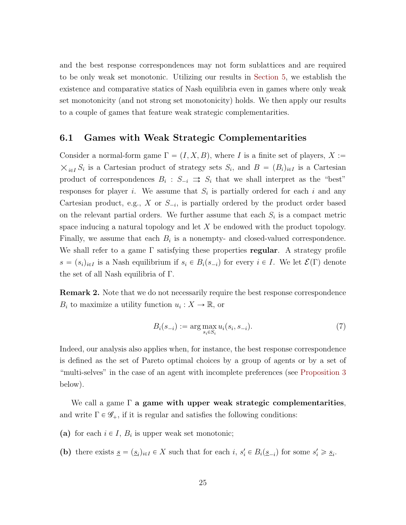and the best response correspondences may not form sublattices and are required to be only weak set monotonic. Utilizing our results in [Section 5,](#page-18-0) we establish the existence and comparative statics of Nash equilibria even in games where only weak set monotonicity (and not strong set monotonicity) holds. We then apply our results to a couple of games that feature weak strategic complementarities.

### <span id="page-24-0"></span>6.1 Games with Weak Strategic Complementarities

Consider a normal-form game  $\Gamma = (I, X, B)$ , where I is a finite set of players,  $X :=$  $i\in I} S_i$  is a Cartesian product of strategy sets  $S_i$ , and  $B = (B_i)_{i \in I}$  is a Cartesian product of correspondences  $B_i : S_{-i} \implies S_i$  that we shall interpret as the "best" responses for player *i*. We assume that  $S_i$  is partially ordered for each *i* and any Cartesian product, e.g.,  $X$  or  $S_{-i}$ , is partially ordered by the product order based on the relevant partial orders. We further assume that each  $S_i$  is a compact metric space inducing a natural topology and let  $X$  be endowed with the product topology. Finally, we assume that each  $B_i$  is a nonempty- and closed-valued correspondence. We shall refer to a game  $\Gamma$  satisfying these properties regular. A strategy profile  $s = (s_i)_{i \in I}$  is a Nash equilibrium if  $s_i \in B_i(s_{-i})$  for every  $i \in I$ . We let  $\mathcal{E}(\Gamma)$  denote the set of all Nash equilibria of Γ.

**Remark 2.** Note that we do not necessarily require the best response correspondence  $B_i$  to maximize a utility function  $u_i: X \to \mathbb{R}$ , or

<span id="page-24-1"></span>
$$
B_i(s_{-i}) := \arg \max_{s_i \in S_i} u_i(s_i, s_{-i}).
$$
\n(7)

Indeed, our analysis also applies when, for instance, the best response correspondence is defined as the set of Pareto optimal choices by a group of agents or by a set of "multi-selves" in the case of an agent with incomplete preferences (see [Proposition 3](#page-27-1) below).

We call a game  $\Gamma$  a game with upper weak strategic complementarities, and write  $\Gamma \in \mathscr{G}_+$ , if it is regular and satisfies the following conditions:

- (a) for each  $i \in I$ ,  $B_i$  is upper weak set monotonic;
- (b) there exists  $\underline{s} = (\underline{s}_i)_{i \in I} \in X$  such that for each  $i, s'_i \in B_i(\underline{s}_{-i})$  for some  $s'_i \geq s_i$ .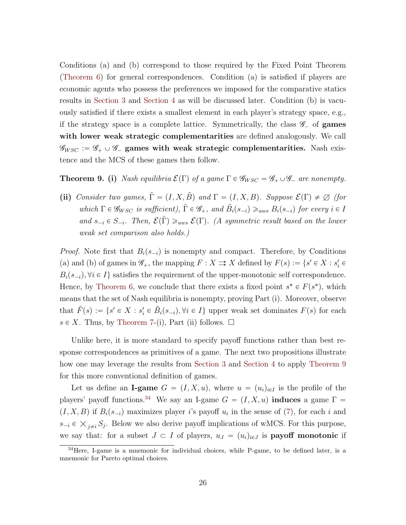Conditions (a) and (b) correspond to those required by the Fixed Point Theorem [\(Theorem 6\)](#page-19-2) for general correspondences. Condition (a) is satisfied if players are economic agents who possess the preferences we imposed for the comparative statics results in [Section 3](#page-8-0) and [Section 4](#page-13-0) as will be discussed later. Condition (b) is vacuously satisfied if there exists a smallest element in each player's strategy space, e.g., if the strategy space is a complete lattice. Symmetrically, the class  $\mathscr{G}_{\text{-}}$  of **games** with lower weak strategic complementarities are defined analogously. We call  $\mathscr{G}_{WSC} := \mathscr{G}_+ \cup \mathscr{G}_-$  games with weak strategic complementarities. Nash existence and the MCS of these games then follow.

<span id="page-25-0"></span>**Theorem 9. (i)** Nash equilibria  $\mathcal{E}(\Gamma)$  of a game  $\Gamma \in \mathcal{G}_{WSC} = \mathcal{G}_+ \cup \mathcal{G}_-$  are nonempty.

(ii) Consider two games,  $\tilde{\Gamma} = (I, X, \tilde{B})$  and  $\Gamma = (I, X, B)$ . Suppose  $\mathcal{E}(\Gamma) \neq \emptyset$  (for which  $\Gamma \in \mathscr{G}_{WSC}$  is sufficient),  $\tilde{\Gamma} \in \mathscr{G}_+$ , and  $\tilde{B}_i(s_{-i}) \geq_{uws} B_i(s_{-i})$  for every  $i \in I$ and  $s_{-i} \in S_{-i}$ . Then,  $\mathcal{E}(\tilde{\Gamma}) \geq_{uws} \mathcal{E}(\Gamma)$ . (A symmetric result based on the lower weak set comparison also holds.)

*Proof.* Note first that  $B_i(s_{-i})$  is nonempty and compact. Therefore, by Conditions (a) and (b) of games in  $\mathcal{G}_+$ , the mapping  $F : X \rightrightarrows X$  defined by  $F(s) := \{s' \in X : s'_i \in X\}$  $B_i(s_{-i}), \forall i \in I$  satisfies the requirement of the upper-monotonic self correspondence. Hence, by [Theorem 6,](#page-19-2) we conclude that there exists a fixed point  $s^* \in F(s^*)$ , which means that the set of Nash equilibria is nonempty, proving Part (i). Moreover, observe that  $\tilde{F}(s) := \{ s' \in X : s'_{i} \in \tilde{B}_{i}(s_{-i}), \forall i \in I \}$  upper weak set dominates  $F(s)$  for each  $s \in X$ . Thus, by [Theorem 7-](#page-21-0)(i), Part (ii) follows.  $\Box$ 

Unlike here, it is more standard to specify payoff functions rather than best response correspondences as primitives of a game. The next two propositions illustrate how one may leverage the results from [Section 3](#page-8-0) and [Section 4](#page-13-0) to apply [Theorem 9](#page-25-0) for this more conventional definition of games.

Let us define an **I-game**  $G = (I, X, u)$ , where  $u = (u_i)_{i \in I}$  is the profile of the players' payoff functions.<sup>[34](#page-25-1)</sup> We say an I-game  $G = (I, X, u)$  induces a game  $\Gamma$  =  $(I, X, B)$  if  $B_i(s_{-i})$  maximizes player i's payoff  $u_i$  in the sense of [\(7\)](#page-24-1), for each i and  $s_{-i} \in \mathcal{X}_{j \neq i}$   $S_j$ . Below we also derive payoff implications of wMCS. For this purpose, we say that: for a subset  $J \subset I$  of players,  $u_J = (u_i)_{i \in J}$  is **payoff monotonic** if

<span id="page-25-1"></span><sup>&</sup>lt;sup>34</sup>Here, I-game is a mnemonic for individual choices, while P-game, to be defined later, is a mnemonic for Pareto optimal choices.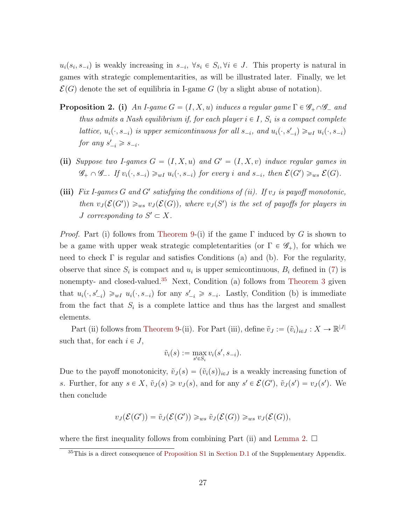$u_i(s_i, s_{-i})$  is weakly increasing in  $s_{-i}$ ,  $\forall s_i \in S_i$ ,  $\forall i \in J$ . This property is natural in games with strategic complementarities, as will be illustrated later. Finally, we let  $\mathcal{E}(G)$  denote the set of equilibria in I-game G (by a slight abuse of notation).

- <span id="page-26-1"></span>**Proposition 2.** (i) An I-game  $G = (I, X, u)$  induces a regular game  $\Gamma \in \mathscr{G}_+ \cap \mathscr{G}_-$  and thus admits a Nash equilibrium if, for each player  $i \in I$ ,  $S_i$  is a compact complete lattice,  $u_i(\cdot, s_{-i})$  is upper semicontinuous for all  $s_{-i}$ , and  $u_i(\cdot, s'_{-i}) \geq u_i u_i(\cdot, s_{-i})$ for any  $s'_{-i} \geqslant s_{-i}$ .
- (ii) Suppose two I-games  $G = (I, X, u)$  and  $G' = (I, X, v)$  induce regular games in  $\mathscr{G}_+ \cap \mathscr{G}_-$ . If  $v_i(\cdot, s_{-i}) \geq w_I u_i(\cdot, s_{-i})$  for every i and  $s_{-i}$ , then  $\mathcal{E}(G') \geq w_s \mathcal{E}(G)$ .
- (iii) Fix I-games G and G' satisfying the conditions of (ii). If  $v_J$  is payoff monotonic, then  $v_J(\mathcal{E}(G')) \geq_{ws} v_J(\mathcal{E}(G))$ , where  $v_J(S')$  is the set of payoffs for players in *J* corresponding to  $S' \subset X$ .

*Proof.* Part (i) follows from [Theorem 9-](#page-25-0)(i) if the game  $\Gamma$  induced by G is shown to be a game with upper weak strategic completentarities (or  $\Gamma \in \mathscr{G}_+$ ), for which we need to check  $\Gamma$  is regular and satisfies Conditions (a) and (b). For the regularity, observe that since  $S_i$  is compact and  $u_i$  is upper semicontinuous,  $B_i$  defined in [\(7\)](#page-24-1) is nonempty- and closed-valued.<sup>[35](#page-26-0)</sup> Next, Condition (a) follows from [Theorem 3](#page-11-2) given that  $u_i(\cdot, s'_{-i}) \geq u_i u_i(\cdot, s_{-i})$  for any  $s'_{-i} \geq s_{-i}$ . Lastly, Condition (b) is immediate from the fact that  $S_i$  is a complete lattice and thus has the largest and smallest elements.

Part (ii) follows from [Theorem 9-](#page-25-0)(ii). For Part (iii), define  $\tilde{v}_J := (\tilde{v}_i)_{i \in J} : X \to \mathbb{R}^{|J|}$ such that, for each  $i \in J$ ,

$$
\tilde{v}_i(s) := \max_{s' \in S_i} v_i(s', s_{-i}).
$$

Due to the payoff monotonicity,  $\tilde{v}_J(s) = (\tilde{v}_i(s))_{i \in J}$  is a weakly increasing function of s. Further, for any  $s \in X$ ,  $\tilde{v}_J(s) \geq v_J(s)$ , and for any  $s' \in \mathcal{E}(G')$ ,  $\tilde{v}_J(s') = v_J(s')$ . We then conclude

$$
v_J(\mathcal{E}(G')) = \tilde{v}_J(\mathcal{E}(G')) \geq_{ws} \tilde{v}_J(\mathcal{E}(G)) \geq_{ws} v_J(\mathcal{E}(G)),
$$

where the first inequality follows from combining Part (ii) and [Lemma 2.](#page-8-1)  $\Box$ 

<span id="page-26-0"></span><sup>&</sup>lt;sup>35</sup>This is a direct consequence of [Proposition S1](#page-13-1) in Section D.1 of the Supplementary Appendix.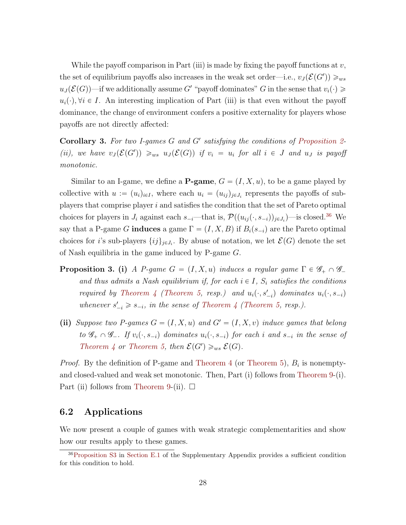While the payoff comparison in Part (iii) is made by fixing the payoff functions at  $v$ , the set of equilibrium payoffs also increases in the weak set order—i.e.,  $v_J(\mathcal{E}(G')) \geq_{ws}$  $u_J(\mathcal{E}(G))$ —if we additionally assume G' "payoff dominates" G in the sense that  $v_i(\cdot) \geq$  $u_i(\cdot), \forall i \in I$ . An interesting implication of Part (iii) is that even without the payoff dominance, the change of environment confers a positive externality for players whose payoffs are not directly affected:

Corollary 3. For two I-games  $G$  and  $G'$  satisfying the conditions of [Proposition 2-](#page-26-1) (ii), we have  $v_j(\mathcal{E}(G')) \geq_{ws} u_j(\mathcal{E}(G))$  if  $v_i = u_i$  for all  $i \in J$  and  $u_j$  is payoff monotonic.

Similar to an I-game, we define a **P-game**,  $G = (I, X, u)$ , to be a game played by collective with  $u := (u_i)_{i \in I}$ , where each  $u_i = (u_{ij})_{j \in J_i}$  represents the payoffs of subplayers that comprise player i and satisfies the condition that the set of Pareto optimal choices for players in  $J_i$  against each  $s_{-i}$ —that is,  $\mathcal{P}((u_{ij}(\cdot, s_{-i}))_{j\in J_i})$ —is closed.<sup>[36](#page-27-2)</sup> We say that a P-game G induces a game  $\Gamma = (I, X, B)$  if  $B_i(s_{-i})$  are the Pareto optimal choices for *i*'s sub-players  $\{ij\}_{j\in J_i}$ . By abuse of notation, we let  $\mathcal{E}(G)$  denote the set of Nash equilibria in the game induced by P-game G.

- <span id="page-27-1"></span>**Proposition 3.** (i) A P-game  $G = (I, X, u)$  induces a regular game  $\Gamma \in \mathscr{G}_+ \cap \mathscr{G}_$ and thus admits a Nash equilibrium if, for each  $i \in I$ ,  $S_i$  satisfies the conditions required by [Theorem 4](#page-15-0) [\(Theorem 5,](#page-16-0) resp.) and  $u_i(\cdot, s'_{-i})$  dominates  $u_i(\cdot, s_{-i})$ whenever  $s'_{-i} \geq s_{-i}$ , in the sense of [Theorem 4](#page-15-0) [\(Theorem 5,](#page-16-0) resp.).
- (ii) Suppose two P-games  $G = (I, X, u)$  and  $G' = (I, X, v)$  induce games that belong to  $\mathscr{G}_+ \cap \mathscr{G}_-$ . If  $v_i(\cdot, s_{-i})$  dominates  $u_i(\cdot, s_{-i})$  for each i and  $s_{-i}$  in the sense of [Theorem 4](#page-15-0) or [Theorem 5,](#page-16-0) then  $\mathcal{E}(G') \geq_{ws} \mathcal{E}(G)$ .

*Proof.* By the definition of P-game and [Theorem 4](#page-15-0) (or [Theorem 5\)](#page-16-0),  $B_i$  is nonemptyand closed-valued and weak set monotonic. Then, Part (i) follows from [Theorem 9-](#page-25-0)(i). Part (ii) follows from [Theorem 9-](#page-25-0)(ii).  $\Box$ 

### <span id="page-27-0"></span>6.2 Applications

We now present a couple of games with weak strategic complementarities and show how our results apply to these games.

<span id="page-27-2"></span><sup>36</sup>[Proposition S3](#page-27-1) in Section E.1 of the Supplementary Appendix provides a sufficient condition for this condition to hold.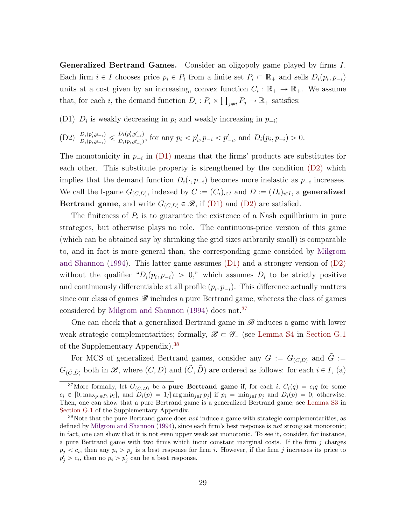<span id="page-28-3"></span><span id="page-28-0"></span>Generalized Bertrand Games. Consider an oligopoly game played by firms I. Each firm  $i \in I$  chooses price  $p_i \in P_i$  from a finite set  $P_i \subset \mathbb{R}_+$  and sells  $D_i(p_i, p_{-i})$ units at a cost given by an increasing, convex function  $C_i : \mathbb{R}_+ \to \mathbb{R}_+$ . We assume that, for each *i*, the demand function  $D_i : P_i \times \prod_{j \neq i} P_j \to \mathbb{R}_+$  satisfies:

(D1)  $D_i$  is weakly decreasing in  $p_i$  and weakly increasing in  $p_{-i}$ ;

(D2) 
$$
\frac{D_i(p'_i, p_{-i})}{D_i(p_i, p_{-i})} \leq \frac{D_i(p'_i, p'_{-i})}{D_i(p_i, p'_{-i})}
$$
, for any  $p_i < p'_i, p_{-i} < p'_{-i}$ , and  $D_i(p_i, p_{-i}) > 0$ .

The monotonicity in  $p_{-i}$  in [\(D1\)](#page-28-0) means that the firms' products are substitutes for each other. This substitute property is strengthened by the condition [\(D2\)](#page-28-0) which implies that the demand function  $D_i(\cdot, p_{-i})$  becomes more inelastic as  $p_{-i}$  increases. We call the I-game  $G_{(C,D)}$ , indexed by  $C := (C_i)_{i \in I}$  and  $D := (D_i)_{i \in I}$ , a generalized **Bertrand game**, and write  $G_{(C,D)} \in \mathcal{B}$ , if [\(D1\)](#page-28-0) and [\(D2\)](#page-28-0) are satisfied.

The finiteness of  $P_i$  is to guarantee the existence of a Nash equilibrium in pure strategies, but otherwise plays no role. The continuous-price version of this game (which can be obtained say by shrinking the grid sizes aribrarily small) is comparable to, and in fact is more general than, the corresponding game consided by [Milgrom](#page-46-0) [and Shannon](#page-46-0) [\(1994\)](#page-46-0). This latter game assumes  $(D1)$  and a stronger version of  $(D2)$ without the qualifier " $D_i(p_i, p_{-i}) > 0$ ," which assumes  $D_i$  to be strictly positive and continuously differentiable at all profile  $(p_i, p_{-i})$ . This difference actually matters since our class of games  $\mathscr{B}$  includes a pure Bertrand game, whereas the class of games considered by [Milgrom and Shannon](#page-46-0) [\(1994\)](#page-46-0) does not.<sup>[37](#page-28-1)</sup>

One can check that a generalized Bertrand game in  $\mathscr{B}$  induces a game with lower weak strategic complementarities; formally,  $\mathscr{B} \subset \mathscr{G}$  (see [Lemma S4](#page-15-2) in [Section G.1](#page-31-0)) of the Supplementary Appendix).[38](#page-28-2)

For MCS of generalized Bertrand games, consider any  $G := G_{(C,D)}$  and  $G :=$  $G_{(\tilde{C}, \tilde{D})}$  both in  $\mathscr{B}$ , where  $(C, D)$  and  $(\tilde{C}, \tilde{D})$  are ordered as follows: for each  $i \in I$ , (a)

<span id="page-28-1"></span><sup>&</sup>lt;sup>37</sup>More formally, let  $G_{(C,D)}$  be a **pure Bertrand game** if, for each i,  $C_i(q) = c_iq$  for some  $c_i \in [0, \max_{p_i \in P_i} p_i],$  and  $D_i(p) = 1/|\arg \min_{j \in I} p_j|$  if  $p_i = \min_{j \in I} p_j$  and  $D_i(p) = 0$ , otherwise. Then, one can show that a pure Bertrand game is a generalized Bertrand game; see [Lemma S3](#page-14-4) in [Section G.1](#page-31-0) of the Supplementary Appendix.

<span id="page-28-2"></span> $38\text{Note that the pure Bertrand game does not induce a game with strategic complementarities, as }$ defined by [Milgrom and Shannon](#page-46-0) [\(1994\)](#page-46-0), since each firm's best response is not strong set monotonic; in fact, one can show that it is not even upper weak set monotonic. To see it, consider, for instance, a pure Bertrand game with two firms which incur constant marginal costs. If the firm  $j$  charges  $p_j < c_i$ , then any  $p_i > p_j$  is a best response for firm i. However, if the firm j increases its price to  $p'_j > c_i$ , then no  $p_i > p'_j$  can be a best response.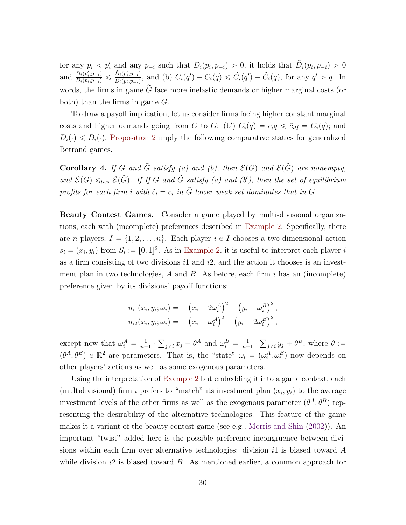<span id="page-29-1"></span>for any  $p_i < p'_i$  and any  $p_{-i}$  such that  $D_i(p_i, p_{-i}) > 0$ , it holds that  $\tilde{D}_i(p_i, p_{-i}) > 0$ and  $\frac{D_i(p'_i, p_{-i})}{D_i(p_i, p_{-i})} \leq \frac{\tilde{D}_i(p'_i, p_{-i})}{\tilde{D}_i(p_i, p_{-i})}$  $\frac{D_i(p'_i,p_{-i})}{\tilde{D}_i(p_i,p_{-i})}$ , and (b)  $C_i(q') - C_i(q) \leq \tilde{C}_i(q') - \tilde{C}_i(q)$ , for any  $q' > q$ . In words, the firms in game  $\tilde{G}$  face more inelastic demands or higher marginal costs (or both) than the firms in game G.

To draw a payoff implication, let us consider firms facing higher constant marginal costs and higher demands going from G to  $\tilde{G}$ : (b')  $C_i(q) = c_i q \leq \tilde{c}_i q = \tilde{C}_i(q)$ ; and  $D_i(\cdot) \leq \tilde{D}_i(\cdot)$ . [Proposition 2](#page-26-1) imply the following comparative statics for generalized Betrand games.

Corollary 4. If G and  $\tilde{G}$  satisfy (a) and (b), then  $\mathcal{E}(G)$  and  $\mathcal{E}(\tilde{G})$  are nonempty, and  $\mathcal{E}(G) \leq_{lws} \mathcal{E}(\tilde{G})$ . If If G and  $\tilde{G}$  satisfy (a) and (b'), then the set of equilibrium profits for each firm i with  $\tilde{c}_i = c_i$  in  $\tilde{G}$  lower weak set dominates that in G.

<span id="page-29-0"></span>Beauty Contest Games. Consider a game played by multi-divisional organizations, each with (incomplete) preferences described in [Example 2.](#page-17-1) Specifically, there are *n* players,  $I = \{1, 2, ..., n\}$ . Each player  $i \in I$  chooses a two-dimensional action  $s_i = (x_i, y_i)$  from  $S_i := [0, 1]^2$ . As in [Example 2,](#page-17-1) it is useful to interpret each player i as a firm consisting of two divisions  $i1$  and  $i2$ , and the action it chooses is an investment plan in two technologies,  $A$  and  $B$ . As before, each firm i has an (incomplete) preference given by its divisions' payoff functions:

$$
u_{i1}(x_i, y_i; \omega_i) = -(x_i - 2\omega_i^A)^2 - (y_i - \omega_i^B)^2,
$$
  

$$
u_{i2}(x_i, y_i; \omega_i) = -(x_i - \omega_i^A)^2 - (y_i - 2\omega_i^B)^2,
$$

except now that  $\omega_i^A = \frac{1}{n-1}$  $\frac{1}{n-1}$ .  $j \neq i$   $x_j + \theta^A$  and  $\omega_i^B = \frac{1}{n-1}$  $\frac{1}{n-1}$ .  $y_{j\neq i} y_j + \theta^B$ , where  $\theta :=$  $(\theta^A, \theta^B) \in \mathbb{R}^2$  are parameters. That is, the "state"  $\omega_i = (\omega_i^A, \omega_i^B)$  now depends on other players' actions as well as some exogenous parameters.

Using the interpretation of [Example 2](#page-17-1) but embedding it into a game context, each (multidivisional) firm i prefers to "match" its investment plan  $(x_i, y_i)$  to the average investment levels of the other firms as well as the exogenous parameter  $(\theta^A, \theta^B)$  representing the desirability of the alternative technologies. This feature of the game makes it a variant of the beauty contest game (see e.g., [Morris and Shin](#page-46-7) [\(2002\)](#page-46-7)). An important "twist" added here is the possible preference incongruence between divisions within each firm over alternative technologies: division it is biased toward  $A$ while division  $i2$  is biased toward  $B$ . As mentioned earlier, a common approach for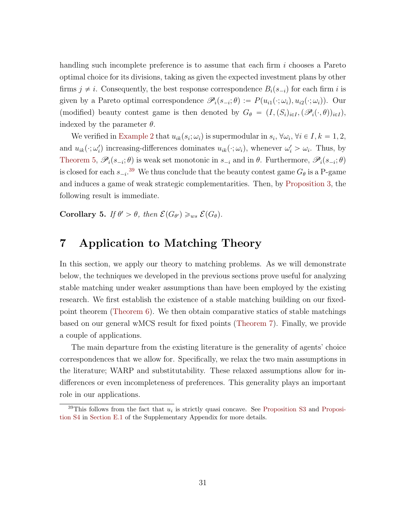handling such incomplete preference is to assume that each firm i chooses a Pareto optimal choice for its divisions, taking as given the expected investment plans by other firms  $j \neq i$ . Consequently, the best response correspondence  $B_i(s_{-i})$  for each firm i is given by a Pareto optimal correspondence  $\mathscr{P}_i(s_{-i};\theta) := P(u_{i1}(\cdot;\omega_i), u_{i2}(\cdot;\omega_i))$ . Our (modified) beauty contest game is then denoted by  $G_{\theta} = (I,(S_i)_{i\in I},(\mathscr{P}_i(\cdot,\theta))_{i\in I}),$ indexed by the parameter  $\theta$ .

We verified in [Example 2](#page-17-1) that  $u_{ik}(s_i; \omega_i)$  is supermodular in  $s_i$ ,  $\forall \omega_i$ ,  $\forall i \in I, k = 1, 2$ , and  $u_{ik}(\cdot; \omega'_i)$  increasing-differences dominates  $u_{ik}(\cdot; \omega_i)$ , whenever  $\omega'_i > \omega_i$ . Thus, by [Theorem 5,](#page-16-0)  $\mathscr{P}_i(s_{-i};\theta)$  is weak set monotonic in  $s_{-i}$  and in  $\theta$ . Furthermore,  $\mathscr{P}_i(s_{-i};\theta)$ is closed for each  $s_{-i}$ .<sup>[39](#page-30-1)</sup> We thus conclude that the beauty contest game  $G_{\theta}$  is a P-game and induces a game of weak strategic complementarities. Then, by [Proposition 3,](#page-27-1) the following result is immediate.

Corollary 5. If  $\theta' > \theta$ , then  $\mathcal{E}(G_{\theta'}) \geq_{ws} \mathcal{E}(G_{\theta})$ .

## <span id="page-30-0"></span>7 Application to Matching Theory

In this section, we apply our theory to matching problems. As we will demonstrate below, the techniques we developed in the previous sections prove useful for analyzing stable matching under weaker assumptions than have been employed by the existing research. We first establish the existence of a stable matching building on our fixedpoint theorem [\(Theorem 6\)](#page-19-2). We then obtain comparative statics of stable matchings based on our general wMCS result for fixed points [\(Theorem 7\)](#page-21-0). Finally, we provide a couple of applications.

The main departure from the existing literature is the generality of agents' choice correspondences that we allow for. Specifically, we relax the two main assumptions in the literature; WARP and substitutability. These relaxed assumptions allow for indifferences or even incompleteness of preferences. This generality plays an important role in our applications.

<span id="page-30-1"></span> $39$ This follows from the fact that  $u_i$  is strictly quasi concave. See [Proposition S3](#page-27-1) and Proposition S4 in Section E.1 of the Supplementary Appendix for more details.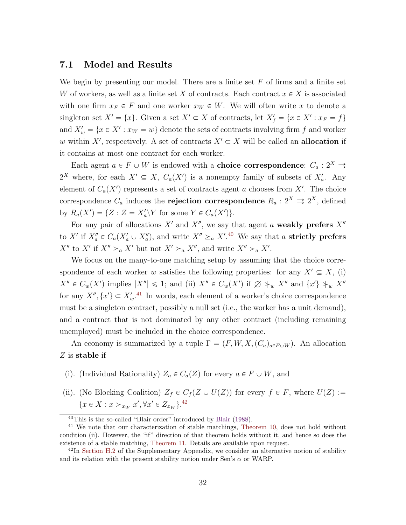### <span id="page-31-4"></span><span id="page-31-0"></span>7.1 Model and Results

We begin by presenting our model. There are a finite set  $F$  of firms and a finite set W of workers, as well as a finite set X of contracts. Each contract  $x \in X$  is associated with one firm  $x_F \in F$  and one worker  $x_W \in W$ . We will often write x to denote a singleton set  $X' = \{x\}$ . Given a set  $X' \subset X$  of contracts, let  $X'_f = \{x \in X' : x_F = f\}$ and  $X'_w = \{x \in X' : x_W = w\}$  denote the sets of contracts involving firm f and worker w within X', respectively. A set of contracts  $X' \subset X$  will be called an **allocation** if it contains at most one contract for each worker.

Each agent  $a \in F \cup W$  is endowed with a **choice correspondence**:  $C_a : 2^X \rightrightarrows$  $2^X$  where, for each  $X' \subseteq X$ ,  $C_a(X')$  is a nonempty family of subsets of  $X'_a$ . Any element of  $C_a(X')$  represents a set of contracts agent a chooses from X'. The choice correspondence  $C_a$  induces the **rejection correspondence**  $R_a: 2^X \rightrightarrows 2^X$ , defined by  $R_a(X') = \{Z : Z = X'_a \backslash Y \text{ for some } Y \in C_a(X')\}.$ 

For any pair of allocations  $X'$  and  $X''$ , we say that agent a weakly prefers  $X''$ to X' if  $X_a'' \in C_a(X_a' \cup X_a'')$ , and write  $X'' \geq_a X'$ .<sup>[40](#page-31-1)</sup> We say that a **strictly prefers**  $X''$  to  $X'$  if  $X'' \geq_a X'$  but not  $X' \geq_a X''$ , and write  $X'' >_a X'$ .

We focus on the many-to-one matching setup by assuming that the choice correspondence of each worker w satisfies the following properties: for any  $X' \subseteq X$ , (i)  $X'' \in C_w(X')$  implies  $|X''| \leq 1$ ; and (ii)  $X'' \in C_w(X')$  if  $\emptyset \neq_w X''$  and  $\{x'\}\neq_w X''$ for any  $X'', \{x'\} \subset X'_{w}$ .<sup>[41](#page-31-2)</sup> In words, each element of a worker's choice correspondence must be a singleton contract, possibly a null set (i.e., the worker has a unit demand), and a contract that is not dominated by any other contract (including remaining unemployed) must be included in the choice correspondence.

An economy is summarized by a tuple  $\Gamma = (F, W, X, (C_a)_{a \in F \cup W})$ . An allocation Z is stable if

- (i). (Individual Rationality)  $Z_a \in C_a(Z)$  for every  $a \in F \cup W$ , and
- (ii). (No Blocking Coalition)  $Z_f \in C_f(Z \cup U(Z))$  for every  $f \in F$ , where  $U(Z) :=$  ${x \in X : x >_{x_W} x', \forall x' \in Z_{x_W}}$ .

<span id="page-31-2"></span><span id="page-31-1"></span><sup>40</sup>This is the so-called "Blair order" introduced by [Blair](#page-44-3) [\(1988\)](#page-44-3).

<sup>41</sup> We note that our characterization of stable matchings, [Theorem 10,](#page-33-0) does not hold without condition (ii). However, the "if" direction of that theorem holds without it, and hence so does the existence of a stable matching, [Theorem 11.](#page-34-0) Details are available upon request.

<span id="page-31-3"></span> $^{42}$ In Section H.2 of the Supplementary Appendix, we consider an alternative notion of stability and its relation with the present stability notion under Sen's  $\alpha$  or WARP.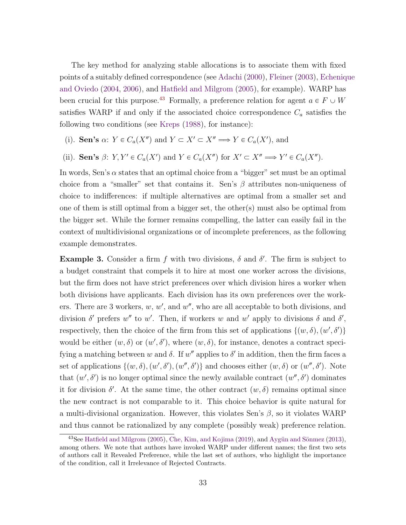<span id="page-32-2"></span>The key method for analyzing stable allocations is to associate them with fixed points of a suitably defined correspondence (see [Adachi](#page-43-0) [\(2000\)](#page-43-0), [Fleiner](#page-44-0) [\(2003\)](#page-44-0), [Echeniq](#page-44-4)ue [and Oviedo](#page-44-4) [\(2004,](#page-44-4) [2006\)](#page-44-5), and [Hatfield and Milgrom](#page-45-0) [\(2005\)](#page-45-0), for example). WARP has been crucial for this purpose.<sup>[43](#page-32-0)</sup> Formally, a preference relation for agent  $a \in F \cup W$ satisfies WARP if and only if the associated choice correspondence  $C_a$  satisfies the following two conditions (see [Kreps](#page-46-8) [\(1988\)](#page-46-8), for instance):

- (i). Sen's  $\alpha: Y \in C_a(X'')$  and  $Y \subset X' \subset X'' \Longrightarrow Y \in C_a(X')$ , and
- (ii). Sen's  $\beta$ :  $Y, Y' \in C_a(X')$  and  $Y \in C_a(X'')$  for  $X' \subset X'' \Longrightarrow Y' \in C_a(X'')$ .

In words, Sen's  $\alpha$  states that an optimal choice from a "bigger" set must be an optimal choice from a "smaller" set that contains it. Sen's  $\beta$  attributes non-uniqueness of choice to indifferences: if multiple alternatives are optimal from a smaller set and one of them is still optimal from a bigger set, the other(s) must also be optimal from the bigger set. While the former remains compelling, the latter can easily fail in the context of multidivisional organizations or of incomplete preferences, as the following example demonstrates.

<span id="page-32-1"></span>**Example 3.** Consider a firm f with two divisions,  $\delta$  and  $\delta'$ . The firm is subject to a budget constraint that compels it to hire at most one worker across the divisions, but the firm does not have strict preferences over which division hires a worker when both divisions have applicants. Each division has its own preferences over the workers. There are 3 workers,  $w, w'$ , and  $w''$ , who are all acceptable to both divisions, and division  $\delta'$  prefers w'' to w'. Then, if workers w and w' apply to divisions  $\delta$  and  $\delta'$ , respectively, then the choice of the firm from this set of applications  $\{(w, \delta), (w', \delta')\}$ would be either  $(w, \delta)$  or  $(w', \delta')$ , where  $(w, \delta)$ , for instance, denotes a contract specifying a matching between w and δ. If w'' applies to δ' in addition, then the firm faces a set of applications  $\{(w, \delta), (w', \delta'), (w'', \delta')\}$  and chooses either  $(w, \delta)$  or  $(w'', \delta')$ . Note that  $(w', \delta')$  is no longer optimal since the newly available contract  $(w'', \delta')$  dominates it for division  $\delta'$ . At the same time, the other contract  $(w, \delta)$  remains optimal since the new contract is not comparable to it. This choice behavior is quite natural for a multi-divisional organization. However, this violates Sen's  $\beta$ , so it violates WARP and thus cannot be rationalized by any complete (possibly weak) preference relation.

<span id="page-32-0"></span> $^{43}$ See [Hatfield and Milgrom](#page-45-0) [\(2005\)](#page-45-0), [Che, Kim, and Kojima](#page-44-6) [\(2019\)](#page-44-6), and Aygün and Sönmez [\(2013\)](#page-43-2), among others. We note that authors have invoked WARP under different names; the first two sets of authors call it Revealed Preference, while the last set of authors, who highlight the importance of the condition, call it Irrelevance of Rejected Contracts.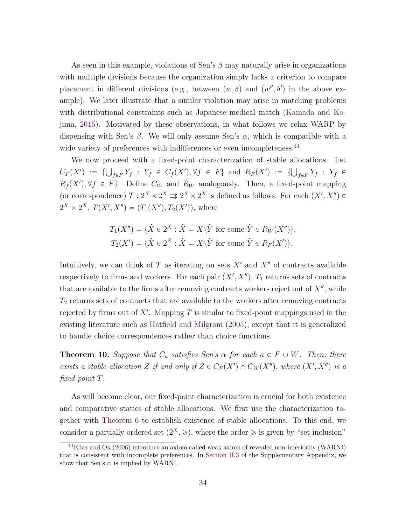<span id="page-33-2"></span>As seen in this example, violations of Sen's  $\beta$  may naturally arise in organizations with multiple divisions because the organization simply lacks a criterion to compare placement in different divisions (e.g., between  $(w, \delta)$  and  $(w'', \delta')$  in the above example). We later illustrate that a similar violation may arise in matching problems with distributional constraints such as Japanese medical match [\(Kamada and Ko](#page-45-2)[jima,](#page-45-2) [2015\)](#page-45-2). Motivated by these observations, in what follows we relax WARP by dispensing with Sen's  $\beta$ . We will only assume Sen's  $\alpha$ , which is compatible with a wide variety of preferences with indifferences or even incompleteness.<sup>[44](#page-33-1)</sup>

We now proceed with a fixed-point characterization of stable allocations. Let We now proceed with a fixed-point characterization of stable anotations. Let  $C_F(X') := \{\bigcup_{f \in F} Y_f : Y_f \in C_f(X'), \forall f \in F\}$  and  $R_F(X') := \{\bigcup_{f \in F} Y_f : Y_f \in C_f(X')\}$  $R_f(X')$ ,  $\forall f \in F$ . Define  $C_W$  and  $R_W$  analogously. Then, a fixed-point mapping (or correspondence)  $T: 2^X \times 2^X \rightrightarrows 2^X \times 2^X$  is defined as follows: For each  $(X', X'') \in$  $2^X \times 2^X$ ,  $T(X', X'') = (T_1(X''), T_2(X'))$ , where

$$
T_1(X'') = \{ \tilde{X} \in 2^X : \tilde{X} = X \backslash \tilde{Y} \text{ for some } \tilde{Y} \in R_W(X'') \},
$$
  

$$
T_2(X') = \{ \tilde{X} \in 2^X : \tilde{X} = X \backslash \tilde{Y} \text{ for some } \tilde{Y} \in R_F(X') \}.
$$

Intuitively, we can think of  $T$  as iterating on sets  $X'$  and  $X''$  of contracts available respectively to firms and workers. For each pair  $(X', X'')$ ,  $T_1$  returns sets of contracts that are available to the firms after removing contracts workers reject out of  $X''$ , while  $T_2$  returns sets of contracts that are available to the workers after removing contracts rejected by firms out of  $X'$ . Mapping T is similar to fixed-point mappings used in the existing literature such as [Hatfield and Milgrom](#page-45-0) [\(2005\)](#page-45-0), except that it is generalized to handle choice correspondences rather than choice functions.

<span id="page-33-0"></span>**Theorem 10.** Suppose that  $C_a$  satisfies Sen's  $\alpha$  for each  $a \in F \cup W$ . Then, there exists a stable allocation Z if and only if  $Z \in C_F(X') \cap C_W(X'')$ , where  $(X', X'')$  is a fixed point T.

As will become clear, our fixed-point characterization is crucial for both existence and comparative statics of stable allocations. We first use the characterization together with [Theorem 6](#page-19-2) to establish existence of stable allocations. To this end, we consider a partially ordered set  $(2^X, \geqslant)$ , where the order  $\geqslant$  is given by "set inclusion"

<span id="page-33-1"></span><sup>44</sup>[Eliaz and Ok](#page-44-1) [\(2006\)](#page-44-1) introduce an axiom called weak axiom of revealed non-inferiority (WARNI) that is consistent with incomplete preferences. In Section H.3 of the Supplementary Appendix, we show that Sen's  $\alpha$  is implied by WARNI.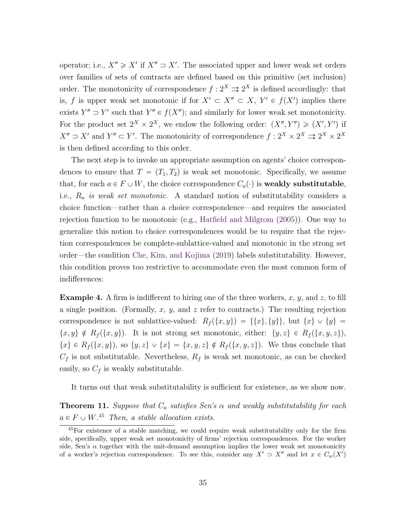<span id="page-34-3"></span>operator; i.e.,  $X'' \geq X'$  if  $X'' \supseteq X'$ . The associated upper and lower weak set orders over families of sets of contracts are defined based on this primitive (set inclusion) order. The monotonicity of correspondence  $f: 2^X \rightrightarrows 2^X$  is defined accordingly: that is, f is upper weak set monotonic if for  $X' \subset X'' \subset X$ ,  $Y' \in f(X')$  implies there exists  $Y'' \supset Y'$  such that  $Y'' \in f(X'')$ ; and similarly for lower weak set monotonicity. For the product set  $2^X \times 2^X$ , we endow the following order:  $(X'', Y'') \geq (X', Y')$  if  $X'' \supset X'$  and  $Y'' \subset Y'$ . The monotonicity of correspondence  $f: 2^X \times 2^X \rightrightarrows 2^X \times 2^X$ is then defined according to this order.

The next step is to invoke an appropriate assumption on agents' choice correspondences to ensure that  $T = (T_1, T_2)$  is weak set monotonic. Specifically, we assume that, for each  $a \in F \cup W$ , the choice correspondence  $C_a(\cdot)$  is weakly substitutable, i.e.,  $R_a$  is weak set monotonic. A standard notion of substitutability considers a choice function—rather than a choice correspondence—and requires the associated rejection function to be monotonic (e.g., [Hatfield and Milgrom](#page-45-0) [\(2005\)](#page-45-0)). One way to generalize this notion to choice correspondences would be to require that the rejection correspondences be complete-sublattice-valued and monotonic in the strong set order—the condition [Che, Kim, and Kojima](#page-44-6) [\(2019\)](#page-44-6) labels substitutability. However, this condition proves too restrictive to accommodate even the most common form of indifferences:

<span id="page-34-2"></span>**Example 4.** A firm is indifferent to hiring one of the three workers, x, y, and z, to fill a single position. (Formally,  $x, y$ , and  $z$  refer to contracts.) The resulting rejection correspondence is not sublattice-valued:  $R_f({x, y}) = {\{x\}, \{y\}\}\,$  but  ${x} \vee {y} =$  $\{x, y\} \notin R_f(\{x, y\}).$  It is not strong set monotonic, either:  $\{y, z\} \in R_f(\{x, y, z\}),$  $\{x\} \in R_f(\{x, y\}),$  so  $\{y, z\} \vee \{x\} = \{x, y, z\} \notin R_f(\{x, y, z\}).$  We thus conclude that  $C_f$  is not substitutable. Nevertheless,  $R_f$  is weak set monotonic, as can be checked easily, so  $C_f$  is weakly substitutable.

It turns out that weak substitutability is sufficient for existence, as we show now.

<span id="page-34-0"></span>**Theorem 11.** Suppose that  $C_a$  satisfies Sen's  $\alpha$  and weakly substitutability for each  $a \in F \cup W$ .<sup>[45](#page-34-1)</sup> Then, a stable allocation exists.

<span id="page-34-1"></span><sup>45</sup>For existence of a stable matching, we could require weak substitutability only for the firm side, specifically, upper weak set monotonicity of firms' rejection correspondences. For the worker side, Sen's  $\alpha$  together with the unit-demand assumption implies the lower weak set monotonicity of a worker's rejection correspondence. To see this, consider any  $X' \supset X''$  and let  $x \in C_w(X')$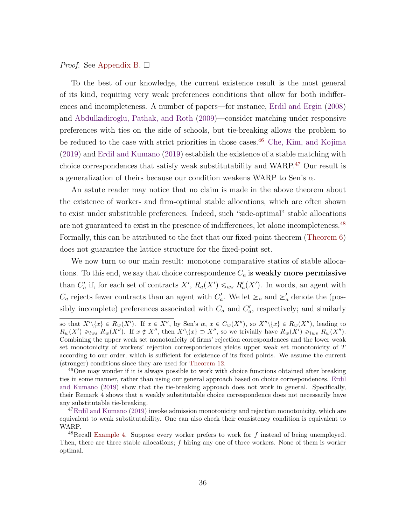#### <span id="page-35-3"></span>*Proof.* See [Appendix B.](#page-42-0)  $\Box$

To the best of our knowledge, the current existence result is the most general of its kind, requiring very weak preferences conditions that allow for both indifferences and incompleteness. A number of papers—for instance, [Erdil and Ergin](#page-44-7) [\(2008\)](#page-44-7) and [Abdulkadiroglu, Pathak, and Roth](#page-43-3) [\(2009\)](#page-43-3)—consider matching under responsive preferences with ties on the side of schools, but tie-breaking allows the problem to be reduced to the case with strict priorities in those cases.<sup>[46](#page-35-0)</sup> [Che, Kim, and Kojima](#page-44-6) [\(2019\)](#page-44-6) and [Erdil and Kumano](#page-44-8) [\(2019\)](#page-44-8) establish the existence of a stable matching with choice correspondences that satisfy weak substitutability and WARP.[47](#page-35-1) Our result is a generalization of theirs because our condition weakens WARP to Sen's  $\alpha$ .

An astute reader may notice that no claim is made in the above theorem about the existence of worker- and firm-optimal stable allocations, which are often shown to exist under substituble preferences. Indeed, such "side-optimal" stable allocations are not guaranteed to exist in the presence of indifferences, let alone incompleteness.[48](#page-35-2) Formally, this can be attributed to the fact that our fixed-point theorem [\(Theorem 6\)](#page-19-2) does not guarantee the lattice structure for the fixed-point set.

We now turn to our main result: monotone comparative statics of stable allocations. To this end, we say that choice correspondence  $C_a$  is weakly more permissive than  $C'_a$  if, for each set of contracts  $X'$ ,  $R_a(X') \leq_{ws} R'_a(X')$ . In words, an agent with  $C_a$  rejects fewer contracts than an agent with  $C_a'$ . We let  $\succeq_a$  and  $\succeq'_a$  denote the (possibly incomplete) preferences associated with  $C_a$  and  $C'_a$ , respectively; and similarly

so that  $X'\setminus\{x\} \in R_w(X')$ . If  $x \in X''$ , by Sen's  $\alpha, x \in C_w(X'')$ , so  $X''\setminus\{x\} \in R_w(X'')$ , leading to  $R_w(X') \geq_{lws} R_w(X'')$ . If  $x \notin X''$ , then  $X' \setminus \{x\} \supset X''$ , so we trivially have  $R_w(X') \geq_{lws} R_w(X'')$ . Combining the upper weak set monotonicity of firms' rejection correspondences and the lower weak set monotonicity of workers' rejection correspondences yields upper weak set monotonicity of T according to our order, which is sufficient for existence of its fixed points. We assume the current (stronger) conditions since they are used for [Theorem 12.](#page-36-0)

<span id="page-35-0"></span><sup>46</sup>One may wonder if it is always possible to work with choice functions obtained after breaking ties in some manner, rather than using our general approach based on choice correspondences. [Erdil](#page-44-8) [and Kumano](#page-44-8) [\(2019\)](#page-44-8) show that the tie-breaking approach does not work in general. Specifically, their Remark 4 shows that a weakly substitutable choice correspondence does not necessarily have any substitutable tie-breaking.

<span id="page-35-1"></span> $^{47}$ [Erdil and Kumano](#page-44-8) [\(2019\)](#page-44-8) invoke admission monotonicity and rejection monotonicity, which are equivalent to weak substitutability. One can also check their consistency condition is equivalent to WARP.

<span id="page-35-2"></span><sup>&</sup>lt;sup>48</sup>Recall [Example 4.](#page-34-2) Suppose every worker prefers to work for  $f$  instead of being unemployed. Then, there are three stable allocations; f hiring any one of three workers. None of them is worker optimal.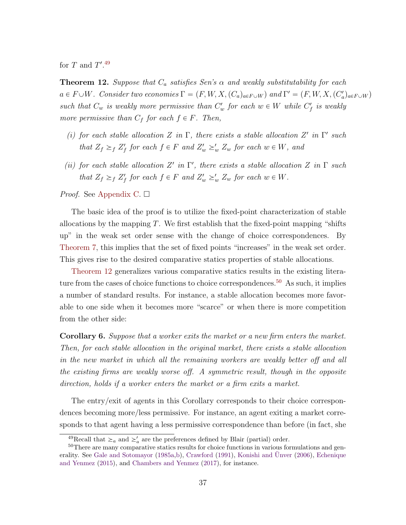<span id="page-36-3"></span><span id="page-36-0"></span>for T and  $T'.^{49}$  $T'.^{49}$  $T'.^{49}$ 

**Theorem 12.** Suppose that  $C_a$  satisfies Sen's  $\alpha$  and weakly substitutability for each  $a \in F \cup W$ . Consider two economies  $\Gamma = (F, W, X, (C_a)_{a \in F \cup W})$  and  $\Gamma' = (F, W, X, (C'_a)_{a \in F \cup W})$ such that  $C_w$  is weakly more permissive than  $C'_w$  for each  $w \in W$  while  $C'_f$  is weakly more permissive than  $C_f$  for each  $f \in F$ . Then,

- (i) for each stable allocation Z in  $\Gamma$ , there exists a stable allocation Z' in  $\Gamma'$  such that  $Z_f \geq_f Z'_f$  for each  $f \in F$  and  $Z'_w \geq_w Z_w$  for each  $w \in W$ , and
- (ii) for each stable allocation Z' in  $\Gamma'$ , there exists a stable allocation Z in  $\Gamma$  such that  $Z_f \geq_f Z'_f$  for each  $f \in F$  and  $Z'_w \geq_w Z_w$  for each  $w \in W$ .

#### *Proof.* See [Appendix C.](#page-42-1)  $\Box$

The basic idea of the proof is to utilize the fixed-point characterization of stable allocations by the mapping  $T$ . We first establish that the fixed-point mapping "shifts" up" in the weak set order sense with the change of choice correspondences. By [Theorem 7,](#page-21-0) this implies that the set of fixed points "increases" in the weak set order. This gives rise to the desired comparative statics properties of stable allocations.

[Theorem 12](#page-36-0) generalizes various comparative statics results in the existing litera-ture from the cases of choice functions to choice correspondences.<sup>[50](#page-36-2)</sup> As such, it implies a number of standard results. For instance, a stable allocation becomes more favorable to one side when it becomes more "scarce" or when there is more competition from the other side:

Corollary 6. Suppose that a worker exits the market or a new firm enters the market. Then, for each stable allocation in the original market, there exists a stable allocation in the new market in which all the remaining workers are weakly better off and all the existing firms are weakly worse off. A symmetric result, though in the opposite direction, holds if a worker enters the market or a firm exits a market.

The entry/exit of agents in this Corollary corresponds to their choice correspondences becoming more/less permissive. For instance, an agent exiting a market corresponds to that agent having a less permissive correspondence than before (in fact, she

<span id="page-36-2"></span><span id="page-36-1"></span><sup>&</sup>lt;sup>49</sup>Recall that  $\geq_a$  and  $\geq'_a$  are the preferences defined by Blair (partial) order.

<sup>50</sup>There are many comparative statics results for choice functions in various formulations and gen-erality. See [Gale and Sotomayor](#page-45-3) [\(1985a,](#page-45-3)[b\)](#page-45-4), [Crawford](#page-44-9) [\(1991\)](#page-44-9), [Konishi and](#page-46-9) Ünver [\(2006\)](#page-46-9), [Echenique](#page-44-10) [and Yenmez](#page-44-10) [\(2015\)](#page-44-10), and [Chambers and Yenmez](#page-44-11) [\(2017\)](#page-44-11), for instance.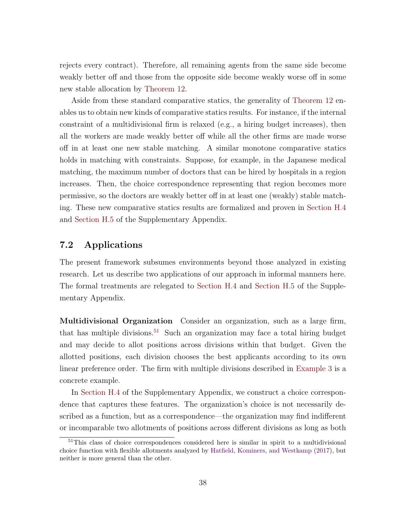<span id="page-37-1"></span>rejects every contract). Therefore, all remaining agents from the same side become weakly better off and those from the opposite side become weakly worse off in some new stable allocation by [Theorem 12.](#page-36-0)

Aside from these standard comparative statics, the generality of [Theorem 12](#page-36-0) enables us to obtain new kinds of comparative statics results. For instance, if the internal constraint of a multidivisional firm is relaxed (e.g., a hiring budget increases), then all the workers are made weakly better off while all the other firms are made worse off in at least one new stable matching. A similar monotone comparative statics holds in matching with constraints. Suppose, for example, in the Japanese medical matching, the maximum number of doctors that can be hired by hospitals in a region increases. Then, the choice correspondence representing that region becomes more permissive, so the doctors are weakly better off in at least one (weakly) stable matching. These new comparative statics results are formalized and proven in Section H.4 and Section H.5 of the Supplementary Appendix.

### 7.2 Applications

The present framework subsumes environments beyond those analyzed in existing research. Let us describe two applications of our approach in informal manners here. The formal treatments are relegated to Section H.4 and Section H.5 of the Supplementary Appendix.

Multidivisional Organization Consider an organization, such as a large firm, that has multiple divisions.<sup>[51](#page-37-0)</sup> Such an organization may face a total hiring budget and may decide to allot positions across divisions within that budget. Given the allotted positions, each division chooses the best applicants according to its own linear preference order. The firm with multiple divisions described in [Example 3](#page-32-1) is a concrete example.

In Section H.4 of the Supplementary Appendix, we construct a choice correspondence that captures these features. The organization's choice is not necessarily described as a function, but as a correspondence—the organization may find indifferent or incomparable two allotments of positions across different divisions as long as both

<span id="page-37-0"></span><sup>&</sup>lt;sup>51</sup>This class of choice correspondences considered here is similar in spirit to a multidivisional choice function with flexible allotments analyzed by [Hatfield, Kominers, and Westkamp](#page-45-5) [\(2017\)](#page-45-5), but neither is more general than the other.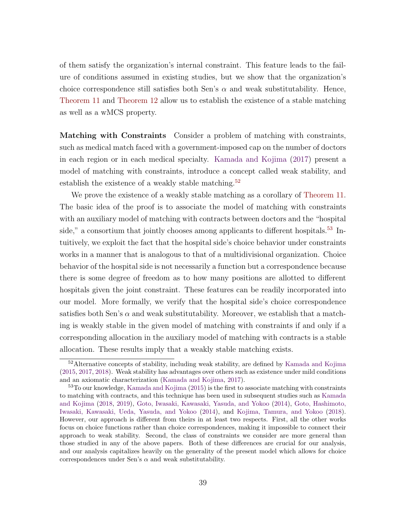<span id="page-38-2"></span>of them satisfy the organization's internal constraint. This feature leads to the failure of conditions assumed in existing studies, but we show that the organization's choice correspondence still satisfies both Sen's  $\alpha$  and weak substitutability. Hence, [Theorem 11](#page-34-0) and [Theorem 12](#page-36-0) allow us to establish the existence of a stable matching as well as a wMCS property.

Matching with Constraints Consider a problem of matching with constraints, such as medical match faced with a government-imposed cap on the number of doctors in each region or in each medical specialty. [Kamada and Kojima](#page-45-6) [\(2017\)](#page-45-6) present a model of matching with constraints, introduce a concept called weak stability, and establish the existence of a weakly stable matching.<sup>[52](#page-38-0)</sup>

We prove the existence of a weakly stable matching as a corollary of [Theorem 11.](#page-34-0) The basic idea of the proof is to associate the model of matching with constraints with an auxiliary model of matching with contracts between doctors and the "hospital side," a consortium that jointly chooses among applicants to different hospitals.<sup>[53](#page-38-1)</sup> Intuitively, we exploit the fact that the hospital side's choice behavior under constraints works in a manner that is analogous to that of a multidivisional organization. Choice behavior of the hospital side is not necessarily a function but a correspondence because there is some degree of freedom as to how many positions are allotted to different hospitals given the joint constraint. These features can be readily incorporated into our model. More formally, we verify that the hospital side's choice correspondence satisfies both Sen's  $\alpha$  and weak substitutability. Moreover, we establish that a matching is weakly stable in the given model of matching with constraints if and only if a corresponding allocation in the auxiliary model of matching with contracts is a stable allocation. These results imply that a weakly stable matching exists.

<span id="page-38-0"></span> $52$ Alternative concepts of stability, including weak stability, are defined by [Kamada and Kojima](#page-45-2) [\(2015,](#page-45-2) [2017,](#page-45-6) [2018\)](#page-45-7). Weak stability has advantages over others such as existence under mild conditions and an axiomatic characterization [\(Kamada and Kojima,](#page-45-6) [2017\)](#page-45-6).

<span id="page-38-1"></span><sup>&</sup>lt;sup>53</sup>To our knowledge, [Kamada and Kojima](#page-45-2) [\(2015\)](#page-45-2) is the first to associate matching with constraints to matching with contracts, and this technique has been used in subsequent studies such as [Kamada](#page-45-7) [and Kojima](#page-45-7) [\(2018,](#page-45-7) [2019\)](#page-45-8), [Goto, Iwasaki, Kawasaki, Yasuda, and Yokoo](#page-45-9) [\(2014\)](#page-45-9), [Goto, Hashimoto,](#page-45-10) [Iwasaki, Kawasaki, Ueda, Yasuda, and Yokoo](#page-45-10) [\(2014\)](#page-45-10), and [Kojima, Tamura, and Yokoo](#page-46-10) [\(2018\)](#page-46-10). However, our approach is different from theirs in at least two respects. First, all the other works focus on choice functions rather than choice correspondences, making it impossible to connect their approach to weak stability. Second, the class of constraints we consider are more general than those studied in any of the above papers. Both of these differences are crucial for our analysis, and our analysis capitalizes heavily on the generality of the present model which allows for choice correspondences under Sen's  $\alpha$  and weak substitutability.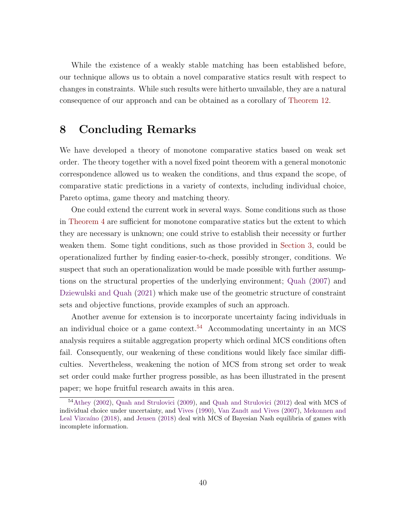<span id="page-39-1"></span>While the existence of a weakly stable matching has been established before, our technique allows us to obtain a novel comparative statics result with respect to changes in constraints. While such results were hitherto unvailable, they are a natural consequence of our approach and can be obtained as a corollary of [Theorem 12.](#page-36-0)

### 8 Concluding Remarks

We have developed a theory of monotone comparative statics based on weak set order. The theory together with a novel fixed point theorem with a general monotonic correspondence allowed us to weaken the conditions, and thus expand the scope, of comparative static predictions in a variety of contexts, including individual choice, Pareto optima, game theory and matching theory.

One could extend the current work in several ways. Some conditions such as those in [Theorem 4](#page-15-0) are sufficient for monotone comparative statics but the extent to which they are necessary is unknown; one could strive to establish their necessity or further weaken them. Some tight conditions, such as those provided in [Section 3,](#page-8-0) could be operationalized further by finding easier-to-check, possibly stronger, conditions. We suspect that such an operationalization would be made possible with further assumptions on the structural properties of the underlying environment; [Quah](#page-46-3) [\(2007\)](#page-46-3) and [Dziewulski and Quah](#page-44-12) [\(2021\)](#page-44-12) which make use of the geometric structure of constraint sets and objective functions, provide examples of such an approach.

Another avenue for extension is to incorporate uncertainty facing individuals in an individual choice or a game context.<sup>[54](#page-39-0)</sup> Accommodating uncertainty in an MCS analysis requires a suitable aggregation property which ordinal MCS conditions often fail. Consequently, our weakening of these conditions would likely face similar difficulties. Nevertheless, weakening the notion of MCS from strong set order to weak set order could make further progress possible, as has been illustrated in the present paper; we hope fruitful research awaits in this area.

<span id="page-39-0"></span><sup>54</sup>[Athey](#page-43-4) [\(2002\)](#page-43-4), [Quah and Strulovici](#page-47-2) [\(2009\)](#page-47-2), and [Quah and Strulovici](#page-47-10) [\(2012\)](#page-47-10) deal with MCS of individual choice under uncertainty, and [Vives](#page-47-3) [\(1990\)](#page-47-3), [Van Zandt and Vives](#page-47-8) [\(2007\)](#page-47-8), [Mekonnen and](#page-46-11) Leal Vizcaíno [\(2018\)](#page-45-11), and [Jensen](#page-45-11) (2018) deal with MCS of Bayesian Nash equilibria of games with incomplete information.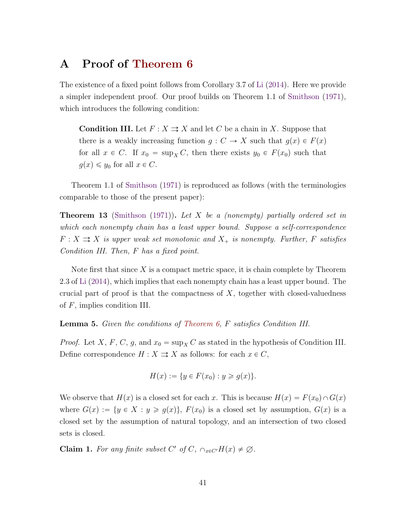# <span id="page-40-3"></span><span id="page-40-0"></span>A Proof of [Theorem 6](#page-19-2)

The existence of a fixed point follows from Corollary 3.7 of [Li](#page-46-6) [\(2014\)](#page-46-6). Here we provide a simpler independent proof. Our proof builds on Theorem 1.1 of [Smithson](#page-47-11) [\(1971\)](#page-47-11), which introduces the following condition:

**Condition III.** Let  $F: X \rightrightarrows X$  and let C be a chain in X. Suppose that there is a weakly increasing function  $g: C \to X$  such that  $g(x) \in F(x)$ for all  $x \in C$ . If  $x_0 = \sup_X C$ , then there exists  $y_0 \in F(x_0)$  such that  $g(x) \leq y_0$  for all  $x \in C$ .

Theorem 1.1 of [Smithson](#page-47-11) [\(1971\)](#page-47-11) is reproduced as follows (with the terminologies comparable to those of the present paper):

<span id="page-40-2"></span>**Theorem 13** [\(Smithson](#page-47-11) [\(1971\)](#page-47-11)). Let X be a (nonempty) partially ordered set in which each nonempty chain has a least upper bound. Suppose a self-correspondence  $F: X \rightrightarrows X$  is upper weak set monotonic and  $X_+$  is nonempty. Further, F satisfies Condition III. Then, F has a fixed point.

Note first that since  $X$  is a compact metric space, it is chain complete by Theorem 2.3 of [Li](#page-46-6) [\(2014\)](#page-46-6), which implies that each nonempty chain has a least upper bound. The crucial part of proof is that the compactness of  $X$ , together with closed-valuedness of F, implies condition III.

<span id="page-40-1"></span>Lemma 5. Given the conditions of [Theorem 6,](#page-19-2) F satisfies Condition III.

*Proof.* Let X, F, C, g, and  $x_0 = \sup_X C$  as stated in the hypothesis of Condition III. Define correspondence  $H : X \rightrightarrows X$  as follows: for each  $x \in C$ ,

$$
H(x) := \{ y \in F(x_0) : y \ge g(x) \}.
$$

We observe that  $H(x)$  is a closed set for each x. This is because  $H(x) = F(x_0) \cap G(x)$ where  $G(x) := \{y \in X : y \geq g(x)\}\text{, } F(x_0)$  is a closed set by assumption,  $G(x)$  is a closed set by the assumption of natural topology, and an intersection of two closed sets is closed.

**Claim 1.** For any finite subset C' of C,  $\cap_{x \in C'} H(x) \neq \emptyset$ .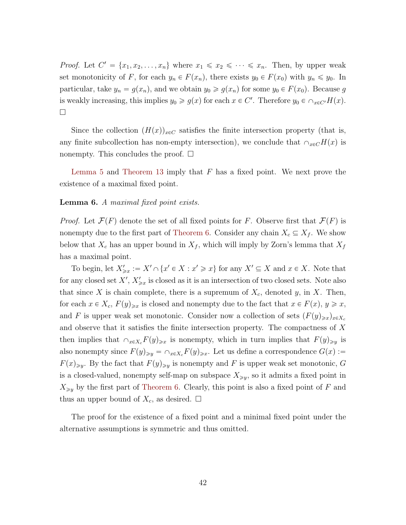*Proof.* Let  $C' = \{x_1, x_2, \ldots, x_n\}$  where  $x_1 \leq x_2 \leq \cdots \leq x_n$ . Then, by upper weak set monotonicity of F, for each  $y_n \in F(x_n)$ , there exists  $y_0 \in F(x_0)$  with  $y_n \leq y_0$ . In particular, take  $y_n = g(x_n)$ , and we obtain  $y_0 \ge g(x_n)$  for some  $y_0 \in F(x_0)$ . Because g is weakly increasing, this implies  $y_0 \ge g(x)$  for each  $x \in C'$ . Therefore  $y_0 \in \cap_{x \in C'} H(x)$ .  $\Box$ 

Since the collection  $(H(x))_{x\in\mathbb{C}}$  satisfies the finite intersection property (that is, any finite subcollection has non-empty intersection), we conclude that  $\cap_{x\in C}H(x)$  is nonempty. This concludes the proof.  $\square$ 

[Lemma 5](#page-40-1) and [Theorem 13](#page-40-2) imply that  $F$  has a fixed point. We next prove the existence of a maximal fixed point.

#### Lemma 6. A maximal fixed point exists.

*Proof.* Let  $\mathcal{F}(F)$  denote the set of all fixed points for F. Observe first that  $\mathcal{F}(F)$  is nonempty due to the first part of [Theorem 6.](#page-19-2) Consider any chain  $X_c \subseteq X_f$ . We show below that  $X_c$  has an upper bound in  $X_f$ , which will imply by Zorn's lemma that  $X_f$ has a maximal point.

To begin, let  $X'_{\geq x} := X' \cap \{x' \in X : x' \geq x\}$  for any  $X' \subseteq X$  and  $x \in X$ . Note that for any closed set  $X', X'_{\geq x}$  is closed as it is an intersection of two closed sets. Note also that since X is chain complete, there is a supremum of  $X_c$ , denoted y, in X. Then, for each  $x \in X_c$ ,  $F(y)_{\geq x}$  is closed and nonempty due to the fact that  $x \in F(x)$ ,  $y \geq x$ , and F is upper weak set monotonic. Consider now a collection of sets  $(F(y)_{\geq x})_{x\in X_c}$ and observe that it satisfies the finite intersection property. The compactness of X then implies that  $\bigcap_{x\in X_c}F(y)_{\geq x}$  is nonempty, which in turn implies that  $F(y)_{\geq y}$  is also nonempty since  $F(y)_{\geq y} = \bigcap_{x \in X_c} F(y)_{\geq x}$ . Let us define a correspondence  $G(x) :=$  $F(x)_{\geq y}$ . By the fact that  $F(y)_{\geq y}$  is nonempty and F is upper weak set monotonic, G is a closed-valued, nonempty self-map on subspace  $X_{\geq y}$ , so it admits a fixed point in  $X_{\geq y}$  by the first part of [Theorem 6.](#page-19-2) Clearly, this point is also a fixed point of F and thus an upper bound of  $X_c$ , as desired.  $\Box$ 

The proof for the existence of a fixed point and a minimal fixed point under the alternative assumptions is symmetric and thus omitted.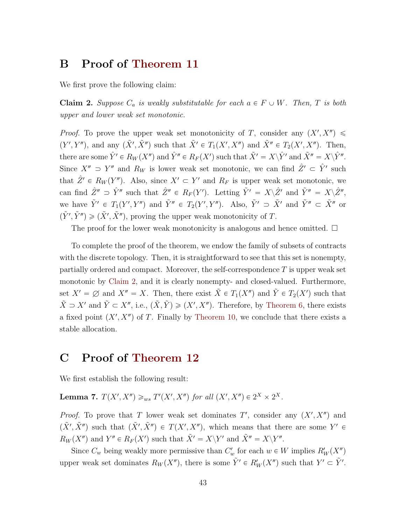## <span id="page-42-0"></span>B Proof of [Theorem 11](#page-34-0)

<span id="page-42-2"></span>We first prove the following claim:

**Claim 2.** Suppose  $C_a$  is weakly substitutable for each  $a \in F \cup W$ . Then, T is both upper and lower weak set monotonic.

*Proof.* To prove the upper weak set monotonicity of T, consider any  $(X', X'')$  $(Y', Y'')$ , and any  $(\tilde{X}', \tilde{X}'')$  such that  $\tilde{X}' \in T_1(X', X'')$  and  $\tilde{X}'' \in T_2(X', X'')$ . Then, there are some  $\hat{Y}' \in R_W(X'')$  and  $\hat{Y}'' \in R_F(X')$  such that  $\tilde{X}' = X \backslash \hat{Y}'$  and  $\tilde{X}'' = X \backslash \hat{Y}''$ . Since  $X'' > Y''$  and  $R_W$  is lower weak set monotonic, we can find  $\hat{Z}' \subset \hat{Y}'$  such that  $\hat{Z}' \in R_W(Y'')$ . Also, since  $X' \subset Y'$  and  $R_F$  is upper weak set monotonic, we can find  $\hat{Z}'' \supset \hat{Y}''$  such that  $\hat{Z}'' \in R_F(Y')$ . Letting  $\tilde{Y}' = X \backslash \hat{Z}'$  and  $\tilde{Y}'' = X \backslash \hat{Z}''$ , we have  $\tilde{Y}' \in T_1(Y', Y'')$  and  $\tilde{Y}'' \in T_2(Y', Y'')$ . Also,  $\tilde{Y}' \supset \tilde{X}'$  and  $\tilde{Y}'' \subset \tilde{X}''$  or  $(\tilde{Y}', \tilde{Y}'') \geq (\tilde{X}', \tilde{X}'')$ , proving the upper weak monotonicity of T.

The proof for the lower weak monotonicity is analogous and hence omitted.  $\square$ 

To complete the proof of the theorem, we endow the family of subsets of contracts with the discrete topology. Then, it is straightforward to see that this set is nonempty, partially ordered and compact. Moreover, the self-correspondence  $T$  is upper weak set monotonic by [Claim 2,](#page-42-2) and it is clearly nonempty- and closed-valued. Furthermore, set  $X' = \emptyset$  and  $X'' = X$ . Then, there exist  $\tilde{X} \in T_1(X'')$  and  $\tilde{Y} \in T_2(X')$  such that  $\tilde{X} \supset X'$  and  $\tilde{Y} \subset X''$ , i.e.,  $(\tilde{X}, \tilde{Y}) \geq (X', X'')$ . Therefore, by [Theorem 6,](#page-19-2) there exists a fixed point  $(X', X'')$  of T. Finally by [Theorem 10,](#page-33-0) we conclude that there exists a stable allocation.

### <span id="page-42-1"></span>C Proof of [Theorem 12](#page-36-0)

<span id="page-42-3"></span>We first establish the following result:

**Lemma 7.**  $T(X', X'') \geq_{ws} T'(X', X'')$  for all  $(X', X'') \in 2^X \times 2^X$ .

*Proof.* To prove that T lower weak set dominates  $T'$ , consider any  $(X', X'')$  and  $(\tilde{X}', \tilde{X}'')$  such that  $(\tilde{X}', \tilde{X}'') \in T(X', X'')$ , which means that there are some  $Y' \in$  $R_W(X'')$  and  $Y'' \in R_F(X')$  such that  $\tilde{X}' = X \backslash Y'$  and  $\tilde{X}'' = X \backslash Y''$ .

Since  $C_w$  being weakly more permissive than  $C'_w$  for each  $w \in W$  implies  $R'_W(X'')$ upper weak set dominates  $R_W(X'')$ , there is some  $\tilde{Y}' \in R'_W(X'')$  such that  $Y' \subset \tilde{Y}'$ .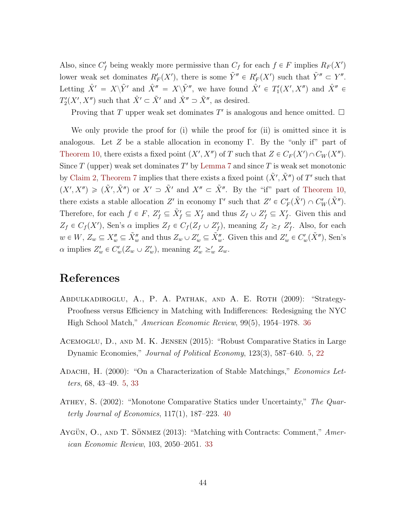Also, since  $C_f'$  being weakly more permissive than  $C_f$  for each  $f \in F$  implies  $R_F(X')$ lower weak set dominates  $R'_F(X')$ , there is some  $\tilde{Y}'' \in R'_F(X')$  such that  $\tilde{Y}'' \subset Y''$ . Letting  $\hat{X}' = X \backslash \tilde{Y}'$  and  $\hat{X}'' = X \backslash \tilde{Y}''$ , we have found  $\hat{X}' \in T'_{1}(X', X'')$  and  $\hat{X}'' \in$  $T'_{2}(X', X'')$  such that  $\hat{X}' \subset \tilde{X}'$  and  $\hat{X}'' \supset \tilde{X}''$ , as desired.

Proving that T upper weak set dominates T' is analogous and hence omitted.  $\square$ 

We only provide the proof for (i) while the proof for (ii) is omitted since it is analogous. Let Z be a stable allocation in economy Γ. By the "only if" part of [Theorem 10,](#page-33-0) there exists a fixed point  $(X', X'')$  of T such that  $Z \in C_F(X') \cap C_W(X'')$ . Since  $T$  (upper) weak set dominates  $T'$  by [Lemma 7](#page-42-3) and since  $T$  is weak set monotonic by [Claim 2,](#page-42-2) [Theorem 7](#page-21-0) implies that there exists a fixed point  $(\tilde{X}', \tilde{X}'')$  of T' such that  $(X', X'') \geq (\tilde{X}', \tilde{X}'')$  or  $X' \supset \tilde{X}'$  and  $X'' \subset \tilde{X}''$ . By the "if" part of [Theorem 10,](#page-33-0) there exists a stable allocation Z' in economy  $\Gamma'$  such that  $Z' \in C'_{F}(\tilde{X}') \cap C'_{W}(\tilde{X}'')$ . Therefore, for each  $f \in F$ ,  $Z'_f \subseteq \tilde{X}'_f \subseteq X'_f$  and thus  $Z_f \cup Z'_f \subseteq X'_f$ . Given this and  $Z_f \in C_f(X')$ , Sen's  $\alpha$  implies  $Z_f \in C_f(Z_f \cup Z'_f)$ , meaning  $Z_f \geq_f Z'_f$ . Also, for each  $w \in W$ ,  $Z_w \subseteq X_w'' \subseteq \tilde{X}_w''$  and thus  $Z_w \cup Z_w' \subseteq \tilde{X}_w''$ . Given this and  $Z_w' \in C_w'(\tilde{X}'')$ , Sen's  $\alpha$  implies  $Z'_w \in C'_w(Z_w \cup Z'_w)$ , meaning  $Z'_w \geq'_w Z_w$ .

### References

- <span id="page-43-3"></span>ABDULKADIROGLU, A., P. A. PATHAK, AND A. E. ROTH (2009): "Strategy-Proofness versus Efficiency in Matching with Indifferences: Redesigning the NYC High School Match," American Economic Review, 99(5), 1954–1978. [36](#page-35-3)
- <span id="page-43-1"></span>Acemoglu, D., and M. K. Jensen (2015): "Robust Comparative Statics in Large Dynamic Economies," Journal of Political Economy, 123(3), 587–640. [5,](#page-4-0) [22](#page-21-2)
- <span id="page-43-0"></span>ADACHI, H. (2000): "On a Characterization of Stable Matchings," Economics Letters, 68, 43–49. [5,](#page-4-0) [33](#page-32-2)
- <span id="page-43-4"></span>ATHEY, S. (2002): "Monotone Comparative Statics under Uncertainty," The Quarterly Journal of Economics,  $117(1)$ ,  $187-223$ .  $40$
- <span id="page-43-2"></span>AYGÜN, O., AND T. SÖNMEZ  $(2013)$ : "Matching with Contracts: Comment," American Economic Review, 103, 2050–2051. [33](#page-32-2)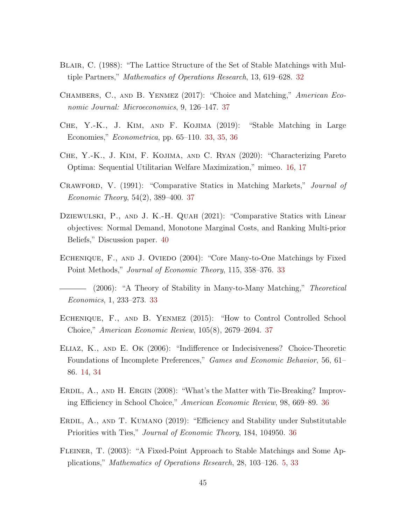- <span id="page-44-3"></span>BLAIR, C. (1988): "The Lattice Structure of the Set of Stable Matchings with Multiple Partners," Mathematics of Operations Research, 13, 619–628. [32](#page-31-4)
- <span id="page-44-11"></span>Chambers, C., and B. Yenmez (2017): "Choice and Matching," American Economic Journal: Microeconomics, 9, 126–147. [37](#page-36-3)
- <span id="page-44-6"></span>Che, Y.-K., J. Kim, and F. Kojima (2019): "Stable Matching in Large Economies," Econometrica, pp. 65–110. [33,](#page-32-2) [35,](#page-34-3) [36](#page-35-3)
- <span id="page-44-2"></span>Che, Y.-K., J. Kim, F. Kojima, and C. Ryan (2020): "Characterizing Pareto Optima: Sequential Utilitarian Welfare Maximization," mimeo. [16,](#page-15-3) [17](#page-16-3)
- <span id="page-44-9"></span>Crawford, V. (1991): "Comparative Statics in Matching Markets," Journal of Economic Theory, 54(2), 389–400. [37](#page-36-3)
- <span id="page-44-12"></span>DZIEWULSKI, P., AND J. K.-H. QUAH (2021): "Comparative Statics with Linear objectives: Normal Demand, Monotone Marginal Costs, and Ranking Multi-prior Beliefs," Discussion paper. [40](#page-39-1)
- <span id="page-44-4"></span>ECHENIQUE, F., AND J. OVIEDO (2004): "Core Many-to-One Matchings by Fixed Point Methods," Journal of Economic Theory, 115, 358–376. [33](#page-32-2)
- <span id="page-44-5"></span>(2006): "A Theory of Stability in Many-to-Many Matching," Theoretical Economics, 1, 233–273. [33](#page-32-2)
- <span id="page-44-10"></span>Echenique, F., and B. Yenmez (2015): "How to Control Controlled School Choice," American Economic Review, 105(8), 2679–2694. [37](#page-36-3)
- <span id="page-44-1"></span>Eliaz, K., and E. Ok (2006): "Indifference or Indecisiveness? Choice-Theoretic Foundations of Incomplete Preferences," Games and Economic Behavior, 56, 61– 86. [14,](#page-13-4) [34](#page-33-2)
- <span id="page-44-7"></span>ERDIL, A., AND H. ERGIN (2008): "What's the Matter with Tie-Breaking? Improving Efficiency in School Choice," American Economic Review, 98, 669–89. [36](#page-35-3)
- <span id="page-44-8"></span>Erdil, A., and T. Kumano (2019): "Efficiency and Stability under Substitutable Priorities with Ties," Journal of Economic Theory, 184, 104950. [36](#page-35-3)
- <span id="page-44-0"></span>Fleiner, T. (2003): "A Fixed-Point Approach to Stable Matchings and Some Applications," Mathematics of Operations Research, 28, 103–126. [5,](#page-4-0) [33](#page-32-2)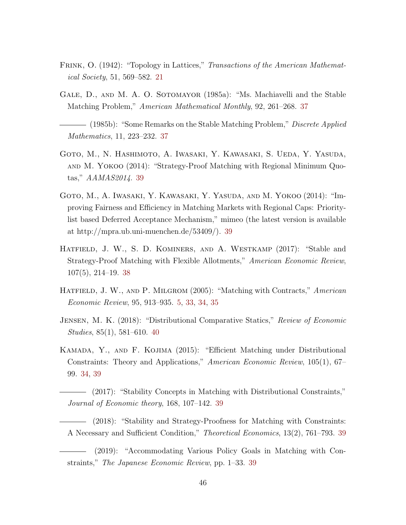- <span id="page-45-1"></span>FRINK, O. (1942): "Topology in Lattices," Transactions of the American Mathematical Society, 51, 569–582. [21](#page-20-2)
- <span id="page-45-3"></span>Gale, D., and M. A. O. Sotomayor (1985a): "Ms. Machiavelli and the Stable Matching Problem," American Mathematical Monthly, 92, 261–268. [37](#page-36-3)
- <span id="page-45-4"></span>- (1985b): "Some Remarks on the Stable Matching Problem," *Discrete Applied* Mathematics, 11, 223–232. [37](#page-36-3)
- <span id="page-45-10"></span>Goto, M., N. Hashimoto, A. Iwasaki, Y. Kawasaki, S. Ueda, Y. Yasuda, and M. Yokoo (2014): "Strategy-Proof Matching with Regional Minimum Quotas," AAMAS2014. [39](#page-38-2)
- <span id="page-45-9"></span>Goto, M., A. Iwasaki, Y. Kawasaki, Y. Yasuda, and M. Yokoo (2014): "Improving Fairness and Efficiency in Matching Markets with Regional Caps: Prioritylist based Deferred Acceptance Mechanism," mimeo (the latest version is available at http://mpra.ub.uni-muenchen.de/53409/). [39](#page-38-2)
- <span id="page-45-5"></span>HATFIELD, J. W., S. D. KOMINERS, AND A. WESTKAMP (2017): "Stable and Strategy-Proof Matching with Flexible Allotments," American Economic Review, 107(5), 214–19. [38](#page-37-1)
- <span id="page-45-0"></span>HATFIELD, J. W., AND P. MILGROM (2005): "Matching with Contracts," American Economic Review, 95, 913–935. [5,](#page-4-0) [33,](#page-32-2) [34,](#page-33-2) [35](#page-34-3)
- <span id="page-45-11"></span>Jensen, M. K. (2018): "Distributional Comparative Statics," Review of Economic Studies, 85(1), 581–610. [40](#page-39-1)
- <span id="page-45-2"></span>Kamada, Y., and F. Kojima (2015): "Efficient Matching under Distributional Constraints: Theory and Applications," American Economic Review, 105(1), 67– 99. [34,](#page-33-2) [39](#page-38-2)
- <span id="page-45-6"></span>(2017): "Stability Concepts in Matching with Distributional Constraints," Journal of Economic theory, 168, 107–142. [39](#page-38-2)
- <span id="page-45-7"></span>(2018): "Stability and Strategy-Proofness for Matching with Constraints: A Necessary and Sufficient Condition," Theoretical Economics, 13(2), 761–793. [39](#page-38-2)
- <span id="page-45-8"></span>(2019): "Accommodating Various Policy Goals in Matching with Constraints," The Japanese Economic Review, pp. 1–33. [39](#page-38-2)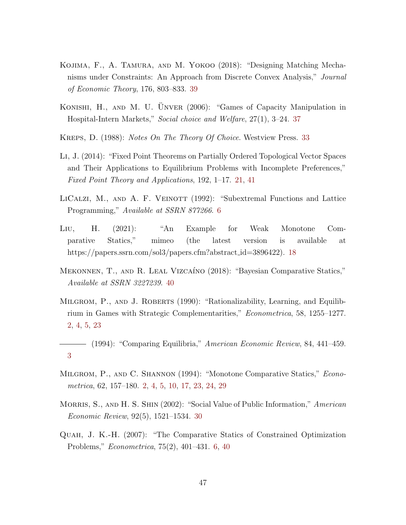- <span id="page-46-10"></span>Kojima, F., A. Tamura, and M. Yokoo (2018): "Designing Matching Mechanisms under Constraints: An Approach from Discrete Convex Analysis," Journal of Economic Theory, 176, 803–833. [39](#page-38-2)
- <span id="page-46-9"></span>KONISHI, H., AND M. U. ÜNVER (2006): "Games of Capacity Manipulation in Hospital-Intern Markets," Social choice and Welfare, 27(1), 3–24. [37](#page-36-3)
- <span id="page-46-8"></span>KREPS, D. (1988): *Notes On The Theory Of Choice*. Westview Press. [33](#page-32-2)
- <span id="page-46-6"></span>Li, J. (2014): "Fixed Point Theorems on Partially Ordered Topological Vector Spaces and Their Applications to Equilibrium Problems with Incomplete Preferences," Fixed Point Theory and Applications, 192, 1–17. [21,](#page-20-2) [41](#page-40-3)
- <span id="page-46-4"></span>LICALZI, M., AND A. F. VEINOTT (1992): "Subextremal Functions and Lattice Programming," Available at SSRN 877266. [6](#page-5-3)
- <span id="page-46-5"></span>Liu, H. (2021): "An Example for Weak Monotone Comparative Statics," mimeo (the latest version is available at https://papers.ssrn.com/sol3/papers.cfm?abstract\_id=3896422). [18](#page-17-2)
- <span id="page-46-11"></span>MEKONNEN, T., AND R. LEAL VIZCAÍNO (2018): "Bayesian Comparative Statics," Available at SSRN 3227239. [40](#page-39-1)
- <span id="page-46-1"></span>MILGROM, P., AND J. ROBERTS (1990): "Rationalizability, Learning, and Equilibrium in Games with Strategic Complementarities," Econometrica, 58, 1255–1277. [2,](#page-1-1) [4,](#page-3-0) [5,](#page-4-0) [23](#page-22-3)
- <span id="page-46-2"></span>(1994): "Comparing Equilibria," American Economic Review, 84, 441–459. [3](#page-2-2)
- <span id="page-46-0"></span>MILGROM, P., AND C. SHANNON (1994): "Monotone Comparative Statics," *Econo*metrica, 62, 157–180. [2,](#page-1-1) [4,](#page-3-0) [5,](#page-4-0) [10,](#page-9-4) [17,](#page-16-3) [23,](#page-22-3) [24,](#page-23-2) [29](#page-28-3)
- <span id="page-46-7"></span>MORRIS, S., AND H. S. SHIN (2002): "Social Value of Public Information," American Economic Review, 92(5), 1521–1534. [30](#page-29-1)
- <span id="page-46-3"></span>Quah, J. K.-H. (2007): "The Comparative Statics of Constrained Optimization Problems," Econometrica, 75(2), 401–431. [6,](#page-5-3) [40](#page-39-1)